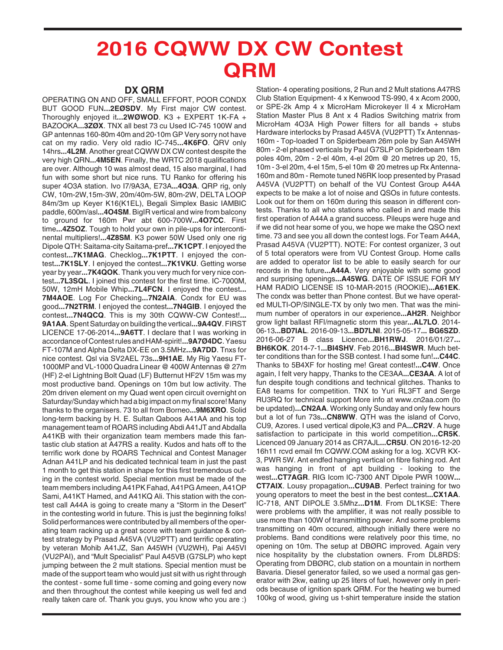## **2016 CQWW DX CW Contest QRM**

## **DX QRM**

OPERATING ON AND OFF, SMALL EFFORT, POOR CONDX BUT GOOD FUN**...2EØSDV**. My First major CW contest. Thoroughly enjoyed it**...2WØWOD**. K3 + EXPERT 1K-FA + BAZOOKA**...3ZØX**. TNX all best 73 cu Used IC-745 100W and GP antennas 160-80m 40m and 20-10m GP Very sorry not have cat on my radio. Very old radio IC-745**...4K6FO**. QRV only 14hrs**...4L2M**. Another great CQWW DX CW contest despite the very high QRN**...4M5EN**. Finally, the WRTC 2018 qualifications are over. Although 10 was almost dead, 15 also marginal, I had fun with some short but nice runs. TU Ranko for offering his super 4O3A station. Ivo I7/9A3A, E73A**...4O3A**. QRP rig, only CW, 10m-2W,15m-3W, 20m/40m-5W, 80m-2W, DELTA LOOP 84m/3m up Keyer K16(K1EL), Begali Simplex Basic IAMBIC paddle, 600m/asl**...4O4SM**. BigIR vertical and wire from balcony to ground for 160m Pwr abt 600-700W**...4O7CC**. First time**...4Z5OZ**. Tough to hold your own in pile-ups for intercontinental multipliers!**...4Z8SM**. K3 power 50W Used only one rig Dipole QTH: Saitama-city Saitama-pref**...7K1CPT**. I enjoyed the contest**...7K1MAG**. Checklog**...7K1PTT**. I enjoyed the contest**...7K1SLY**. I enjoyed the contest**...7K1VKU**. Getting worse year by year**...7K4QOK**. Thank you very much for very nice contest**...7L3SQL**. I joined this contest for the first time. IC-7000M, 50W, 12mH Mobile Whip**...7L4FCN**. I enjoyed the contest**... 7M4AOE**. Log For Checking**...7N2AIA**. Condx for EU was good**...7N2TRM**. I enjoyed the contest**...7N4GIB**. I enjoyed the contest**...7N4QCQ**. This is my 30th CQWW-CW Contest!**... 9A1AA**. Spent Saturday on building the vertical**...9A4QV**. FIRST LICENCE 17-06-2014**...9A6TT**. I declare that I was working in accordance of Contest rules and HAM-spirit!**...9A7Ø4DC**. Yaesu FT-107M and Alpha Delta DX-EE on 3.5MHz**...9A7DD**. Tnxs for nice contest. Qsl via SV2AEL 73s**...9H1AE**. My Rig Yaesu FT-1000MP and VL-1000 Quadra Linear @ 400W Antennas @ 27m (HF) 2-el Lightning Bolt Quad (LF) Butternut HF2V 15m was my most productive band. Openings on 10m but low activity. The 20m driven element on my Quad went open circuit overnight on Saturday/Sunday which had a big impact on my final score! Many thanks to the organisers. 73 to all from Borneo**...9M6XRO**. Solid long-term backing by H. E. Sultan Qaboos A41AA and his top management team of ROARS including Abdi A41JT and Abdalla A41KB with their organization team members made this fantastic club station at A47RS a reality. Kudos and hats off to the terrific work done by ROARS Technical and Contest Manager Adnan A41LP and his dedicated technical team in just the past 1 month to get this station in shape for this first tremendous outing in the contest world. Special mention must be made of the team members including A41PK Fahad, A41PG Ameen, A41OP Sami, A41KT Hamed, and A41KQ Ali. This station with the contest call A44A is going to create many a "Storm in the Desert" in the contesting world in future. This is just the beginning folks! Solid performances were contributed by all members of the operating team racking up a great score with team guidance & contest strategy by Prasad A45VA (VU2PTT) and terrific operating by veteran Mohib A41JZ, San A45WH (VU2WH), Pai A45VI (VU2PAI), and "Mult Specialist" Paul A45VB (G7SLP) who kept jumping between the 2 mult stations. Special mention must be made of the support team who would just sit with us right through the contest - some full time - some coming and going every now and then throughout the contest while keeping us well fed and really taken care of. Thank you guys, you know who you are :)

Station- 4 operating positions, 2 Run and 2 Mult stations A47RS Club Station Equipment- 4 x Kenwood TS-990, 4 x Acom 2000, or SPE-2k Amp 4 x MicroHam Microkeyer II 4 x MicroHam Station Master Plus 8 Ant x 4 Radios Switching matrix from MicroHam 4O3A High Power filters for all bands + stubs Hardware interlocks by Prasad A45VA (VU2PTT) Tx Antennas-160m - Top-loaded T on Spiderbeam 26m pole by San A45WH 80m - 2-el phased verticals by Paul G7SLP on Spiderbeam 18m poles 40m, 20m - 2-el 40m, 4-el 20m @ 20 metres up 20, 15, 10m - 3-el 20m, 4-el 15m, 5-el 10m @ 20 metres up Rx Antenna-160m and 80m - Remote tuned N6RK loop presented by Prasad A45VA (VU2PTT) on behalf of the VU Contest Group A44A expects to be make a lot of noise and QSOs in future contests. Look out for them on 160m during this season in different contests. Thanks to all who stations who called in and made this first operation of A44A a grand success. Pileups were huge and if we did not hear some of you, we hope we make the QSO next time. 73 and see you all down the contest logs. For Team A44A, Prasad A45VA (VU2PTT). NOTE: For contest organizer, 3 out of 5 total operators were from VU Contest Group. Home calls are added to operator list to be able to easily search for our records in the future**...A44A**. Very enjoyable with some good and surprising openings**...A45WG**. DATE OF ISSUE FOR MY HAM RADIO LICENSE IS 10-MAR-2015 (ROOKIE)**...A61EK**. The condx was better than Phone contest. But we have operated MULTI-OP/SINGLE-TX by only two men. That was the minimum number of operators in our experience**...AH2R**. Neighbor grow light ballast RFI/magnetic storm this year**...AL7LO**. 2014- 06-13**...BD7IAL**. 2016-09-13**...BD7LNI**. 2015-05-17**... BG6SZD**. 2016-06-27 B class Licence**...BH1RWJ**. 2016/01/27**... BH6KOK**. 2014-7-1**...BI4SHV**. Feb 2016**...BI4SWR**. Much better conditions than for the SSB contest. I had some fun!**...C44C**. Thanks to 5B4XF for hosting me! Great contest!**...C4W**. Once again, I felt very happy, Thanks to the CE3AA**...CE3AA**. A lot of fun despite tough conditions and technical glitches. Thanks to EA8 teams for competition. TNX to Yuri RL3FT and Serge RU3RQ for technical support More info at www.cn2aa.com (to be updated)**...CN2AA**. Working only Sunday and only few hours but a lot of fun 73s**...CN8WW**. QTH was the island of Corvo, CU9, Azores. I used vertical dipole,K3 and PA**...CR2V**. A huge satisfaction to participate in this world competition**...CR5K**. Licenced 09 January 2014 as CR7AJL**...CR5U**. ON 2016-12-20 16h11 rcvd email fm CQWW.COM asking for a log. XCVR KX-3, PWR 5W. Ant endfed hanging vertical on fibre fishing rod. Ant was hanging in front of apt building - looking to the west**...CT7AGR**. RIG Icom IC-7300 ANT Dipole PWR 100W**... CT7AIX**. Lousy propagation**...CU9AB**. Perfect training for two young operators to meet the best in the best contest**...CX1AA**. IC-718, ANT DIPOLE 3.5Mhz**...D1M**. From DL1KSE: There were problems with the amplifier, it was not really possible to use more than 100W of transmitting power. And some problems transmitting on 40m occured, although initially there were no problems. Band conditions were relatively poor this time, no opening on 10m. The setup at DBØRC improved. Again very nice hospitality by the clubstation owners. From DL8RDS: Operating from DBØRC, club station on a mountain in northern Bavaria. Diesel generator failed, so we used a normal gas generator with 2kw, eating up 25 liters of fuel, however only in periods because of ignition spark QRM. For the heating we burned 100kg of wood, giving us t-shirt temperature inside the station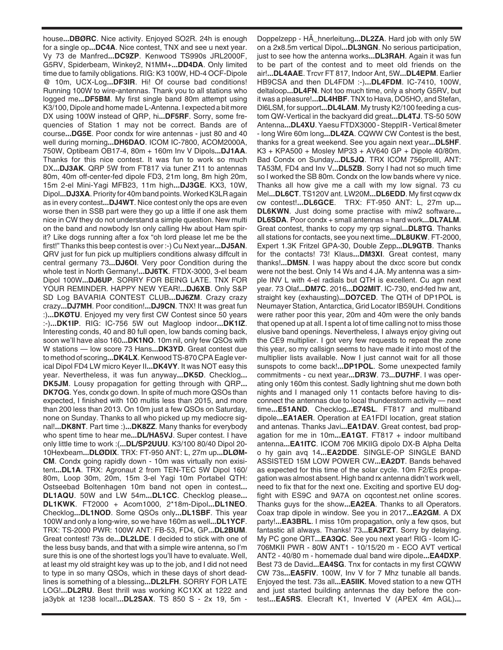house**...DBØRC**. Nice activity. Enjoyed SO2R. 24h is enough for a single op**...DC4A**. Nice contest, TNX and see u next year. Vy 73 de Manfred**...DC9ZP**. Kenwood TS990s JRL2000F, G5RV, Spiderbeam, Winkey2, N1MM+**...DD4DA**. Only limited time due to family obligations. RIG: K3 100W, HD-4 OCF-Dipole @ 10m, UCX-Log**...DF3IR**. Hi! Of course bad conditions! Running 100W to wire-antennas. Thank you to all stations who logged me**...DF5BM**. My first single band 80m attempt using K3/100, Dipole and home made L-Antenna. I expected a bit more DX using 100W instead of QRP, hi**...DF5RF**. Sorry, some frequencies of Station 1 may not be correct. Bands are of course**...DG5E**. Poor condx for wire antennas - just 80 and 40 well during morning**...DH6DAO**. ICOM IC-7800, ACOM2000A, 750W, Optibeam OB17-4, 80m + 160m Inv V Dipols**...DJ1AA**. Thanks for this nice contest. It was fun to work so much DX**...DJ3AK**. QRP 5W from FT817 via tuner Z11 to antennas 80m, 40m off-center-fed dipole FD3, 21m long, 8m high 20m, 15m 2-el Mini-Yagi MFB23, 11m high**...DJ3GE**. KX3, 10W, Dipol**...DJ3XA**. Priority for 40m band points. Worked K3LR again as in every contest**...DJ4WT**. Nice contest only the ops are even worse then in SSB part were they go up a little if one ask them nice in CW they do not understand a simple question. New multi on the band and nowbody lsn only calling Hw about Ham spirit? Like dogs running after a fox "oh lord please let me be the first!" Thanks this beep contest is over :-) Cu Next year**...DJ5AN**. QRV just for fun pick up multipliers conditions alwasy diffcult in central germany 73**...DJ6OI**. Very poor Condition during the whole test in North Germany!**...DJ6TK**. FTDX-3000, 3-el beam Dipol 100W**...DJ6UP**. SORRY FOR BEING LATE. TNX FOR YOUR REMINDER. HAPPY NEW YEAR!**...DJ6XB**. Only S&P SD Log BAVARIA CONTEST CLUB**...DJ6ZM**. Crazy crazy crazy**...DJ7MH**. Poor condition!**...DJ9CN**. TNX! It was great fun :)**...DKØTU**. Enjoyed my very first CW Contest since 50 years :-)**...DK1IP**. RIG: IC-756 5W out Magloop indoor**...DK1IZ**. Interesting conds, 40 and 80 full open, low bands coming back, soon we'll have also 160**...DK1NO**. 10m nil, only few QSOs with W stations — low score 73 Hans**...DK3YD**. Great contest due to method of scoring**...DK4LX**. Kenwood TS-870 CPA Eagle verical Dipol FD4 LW micro Keyer II**...DK4VY**. It was NOT easy this year. Nevertheless, it was fun anyway**...DK5D**. Checklog**... DK5JM**. Lousy propagation for getting through with QRP**... DK7OG**. Yes, condx go down. In spite of much more QSOs than expected, I finished with 100 multis less than 2015, and more than 200 less than 2013. On 10m just a few QSOs on Saturday, none on Sunday. Thanks to all who picked up my mediocre signal!**...DK8NT**. Part time :)**...DK8ZZ**. Many thanks for everybody who spent time to hear me**...DL/HA5VJ**. Super contest. I have only little time to work :(**...DL/SP2UUU**. K3/100 80/40 Dipol 20- 10Hexbeam**...DLØDIX**. TRX: FT-950 ANT: L, 27m up**...DLØM-CM**. Condx going rapidly down - 10m was virtually non exisitent**...DL1A**. TRX: Agronaut 2 from TEN-TEC 5W Dipol 160/ 80m, Loop 30m, 20m, 15m 3-el Yagi 10m Portabel QTH: Ostseebad Boltenhagen 10m band not open in contest**... DL1AQU**. 50W and LW 54m**...DL1CC**. Checklog please**... DL1KWK**. FT2000 + Acom1000, 2\*18m-Dipol**...DL1NEO**. Checklog**...DL1NOD**. Some QSOs only**...DL1SBF**. This year 100W and only a long-wire, so we have 160m as well**...DL1YCF**. TRX: TS-2000 PWR: 100W ANT: FB-53, FD4, GP**...DL2BUM**. Great contest! 73s de**...DL2LDE**. I decided to stick with one of the less busy bands, and that with a simple wire antenna, so I'm sure this is one of the shortest logs you'll have to evaluate. Well, at least my old straight key was up to the job, and I did not need to type in so many QSOs, which in these days of short deadlines is something of a blessing**...DL2LFH**. SORRY FOR LATE LOG!**...DL2RU**. Best thrill was working KC1XX at 1222 and ja3ybk at 1238 local!**...DL2SAX**. TS 850 S - 2x 19, 5m - Doppelzepp - HÃ\_hnerleitung**...DL2ZA**. Hard job with only 5W on a 2x8.5m vertical Dipol**...DL3NGN**. No serious participation, just to see how the antenna works**...DL3RAH**. Again it was fun to be part of the contest and to meet old friends on the air!**...DL4AAE**. Trcvr FT 817, Indoor Ant, 5W**...DL4EPM**. Earlier HB9CSA and then DL4FDM :-)**...DL4FDM**. IC-7410, 100W, deltaloop**...DL4FN**. Not too much time, only a shorty G5RV, but it was a pleasure!**...DL4HBF**. TNX to Hava, DO5HO, and Stefan, Dl6LSM, for support**...DL4LAM**. My trusty K2/100 feeding a custom QW-Vertical in the backyard did great**...DL4TJ**. TS-50 50W Antenna**...DL4XU**. Yaesu FTDX3000 - SteppIR - Vertical 8meter - long Wire 60m long**...DL4ZA**. CQWW CW Contest is the best, thanks for a great weekend. See you again next year**...DL5HF**. K3 + KPA500 + Mosley MP33 + AV640 GP + Dipole 40/80m. Bad Condx on Sunday**...DL5JQ**. TRX ICOM 756proIII, ANT: TA53M, FD4 and Inv V**...DL5ZB**. Sorry I had not so much time so I worked the SB 80m. Condx on the low bands where vy nice. Thanks all how give me a call with my low signal. 73 cu Mel**...DL6CT**. TS120V ant. LW20M**...DL6EDD**. My first cqww dx cw contest!**...DL6GCE**. TRX: FT-950 ANT: L, 27m up**... DL6KWN**. Just doing some practise with miw2 software**... DL6SDA**. Poor condx + small antennas = hard work**...DL7ALM**. Great contest, thanks to copy my qrp signal**...DL8TG**. Thanks all stations for contacts, see you next time**...DL8UKW**. FT-2000, Expert 1.3K Fritzel GPA-30, Double Zepp**...DL9GTB**. Thanks for the contacts! 73! Klaus**...DM3XI**. Great contest, many thanks!**...DM5N**. I was happy about the dxcc score but condx were not the best. Only 14 Ws and 4 JA. My antenna was a simple INV L with 4-el radials but QTH is excellent. Cu agn next year. 73 Olaf**...DM7C**. 2016**...DO2MIT**. IC-730, end-fed hw ant, straight key (exhausting)**...DO7CED**. The QTH of DP1POL is Neumayer Station, Antarctica, Grid Locator IB59UH. Conditions were rather poor this year, 20m and 40m were the only bands that opened up at all. I spent a lot of time calling not to miss those elusive band openings. Nevertheless, I always enjoy giving out the CE9 multiplier. I got very few requests to repeat the zone this year, so my callsign seems to have made it into most of the multiplier lists available. Now I just cannot wait for all those sunspots to come back!**...DP1POL**. Some unexpected family commitments - cu next year**...DR3W**. 73**...DU7HF**. I was operating only 160m this contest. Sadly lightning shut me down both nights and I managed only 11 contacts before having to disconnect the antennas due to local thunderstorm activity — next time**...E51AND**. Checklog**...E74SL**. FT817 and multiband dipole**...EA1AER**. Operation at EA1FDI location, great station and antenas. Thanks Javi**...EA1DAV**. Great contest, bad propagation for me in 10m**...EA1GT**. FT817 + indoor multiband antenna**...EA1ITC**. ICOM 706 MKIIG dipolo DX-B Alpha Delta o hy gain avq 14**...EA2DDE**. SINGLE-OP SINGLE BAND ASSISTED 15M LOW POWER CW**...EA2DT**. Bands behaved as expected for this time of the solar cycle. 10m F2/Es propagation was almost absent. High band rx antenna didn't work well, need to fix that for the next one. Exciting and sportive EU dogfight with ES9C and 9A7A on cqcontest.net online scores. Thanks guys for the show**...EA2EA**. Thanks to all Operators. Coax trap dipole in window. See you in 2017**...EA2GM**. A DX party!**...EA3BRL**. I miss 10m propagation, only a few qsos, but fantastic all always. Thanks! 73**...EA3FZT**. Sorry by delaying. My PC gone QRT**...EA3QC**. See you next year! RIG - Icom IC-706MKII PWR - 80W ANT1 - 10/15/20 m - ECO AVT vertical ANT2 - 40/80 m - homemade dual band wire dipole**...EA4DXP**. Best 73 de David**...EA4SG**. Tnx for contacts in my first CQWW CW 73s**...EA5FIV**. 100W, Inv V for 7 Mhz tunable all bands. Enjoyed the test. 73s all**...EA5IIK**. Moved station to a new QTH and just started building antennas the day before the contest**...EA5RS**. Elecraft K1, Inverted V (APEX 4m AGL)**...**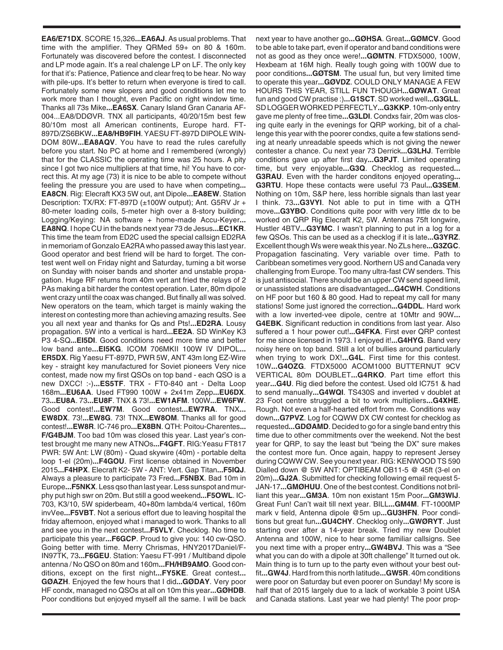**EA6/E71DX**. SCORE 15,326**...EA6AJ**. As usual problems. That time with the amplifier. They QRMed 59+ on 80 & 160m. Fortunately was discovered before the contest. I disconnected and LP mode again. It's a real chalenge LP on LF. The only key for that it's: Patience, Patience and clear freq to be hear. No way with pile-ups. It's better to return when everyone is tired to call. Fortunately some new slopers and good conditions let me to work more than I thought, even Pacific on right window time. Thanks all 73s Mike**...EA6SX**. Canary Island Gran Canaria AF-004...EA8/DDØVR. TNX all participants, 40/20/15m best few 80/10m most all American continents, Europe hard. FT-897D/ZS6BKW**...EA8/HB9FIH**. YAESU FT-897D DIPOLE WIN-DOM 80W**...EA8AQV**. You have to read the rules carefully before you start. No PC at home and I remembered (wrongly) that for the CLASSIC the operating time was 25 hours. A pity since I got two nice multipliers at that time, hi! You have to correct this. At my age (73) it is nice to be able to compete without feeling the pressure you are used to have when competing**... EA8CN**. Rig: Elecraft KX3 5W out, ant Dipole**...EA8EW**. Station Description: TX/RX: FT-897D (±100W output); Ant. G5RV Jr + 80-meter loading coils, 5-meter high over a 8-story building; Logging/Keying: NA software + home-made Accu-Keyer**... EA8NQ**. I hope CU in the bands next year 73 de Jesus**...EC1KR**. This time the team from ED2C used the special callsign ED2RA in memoriam of Gonzalo EA2RA who passed away this last year. Good operator and best friend will be hard to forget. The contest went well on Friday night and Saturday, turning a bit worse on Sunday with noiser bands and shorter and unstable propagation. Huge RF returns from 40m vert ant fried the relays of 2 PAs making a bit harder the contest operation. Later, 80m dipole went crazy until the coax was changed. But finally all was solved. New operators on the team, which target is mainly waking the interest on contesting more than achieving amazing results. See you all next year and thanks for Qs and Pts!**...ED2RA**. Lousy propagation. 5W into a vertical is hard**...EE2A**. SD WinKey K3 P3 4-SQ**...EI5DI**. Good conditions need more time and better low band ante**...EI5KG**. ICOM 706MKII 100W IV DIPOL**... ER5DX**. Rig Yaesu FT-897D, PWR 5W, ANT 43m long EZ-Wire key - straight key manufactured for Soviet pioneers Very nice contest, made now my first QSOs on top band - each QSO is a new DXCC! :-)**...ES5TF**. TRX - FT0-840 ant - Delta Loop 168m**...EU6AA**. Used FT990 100W + 2x41m Zepp**...EU6DX**. 73**...EU8A**. 73**...EU8F**. TNX & 73!**...EW1AFM**. 100W**...EW6FW**. Good contest!**...EW7M**. Good contest**...EW7RA**. TNX**... EW8DX**. 73!**...EW8G**. 73! TNX**...EW8OM**. Thanks all for good contest!**...EW8R**. IC-746 pro**...EX8BN**. QTH: Poitou-Charentes**... F/G4BJM**. Too bad 10m was closed this year. Last year's contest brought me many new ATNOs**...F4GFT**. RIG:Yeasu FT817 PWR: 5W Ant: LW (80m) - Quad skywire (40m) - portable delta loop 1-el (20m)**...F4GOU**. First license obtained in November 2015**...F4HPX**. Elecraft K2- 5W - ANT: Vert. Gap Titan**...F5IQJ**. Always a pleasure to participate 73 Fred**...F5NBX**. Bad 10m in Europe**...F5NKX**. Less qso than last year. Less sunspot and murphy put high swr on 20m. But still a good weekend**...F5OWL**. IC-703, K3/10, 5W spiderbeam, 40+80m lambda/4 vertical, 160m invVee**...F5VBT**. Not a serious effort due to leaving hospital the friday afternoon, enjoyed what i managed to work. Thanks to all and see you in the next contest**...F5VLY**. Checklog. No time to participate this year**...F6GCP**. Proud to give you: 140 cw-QSO. Going better with time. Merry Chrismas, HNY2017Daniel/F-IN97TK, 73**...F6GEU**. Station: Yaesu FT-991 / Multiband dipole antenna / No QSO on 80m and 160m**...FH/HB9AMO**. Good conditions, except on the first night**...FY5KE**. Great contest**... GØAZH**. Enjoyed the few hours that I did**...GØDAY**. Very poor HF condx, managed no QSOs at all on 10m this year**...GØHDB**. Poor conditions but enjoyed myself all the same. I will be back

next year to have another go**...GØHSA**. Great**...GØMCV**. Good to be able to take part, even if operator and band conditions were not as good as they once were!**...GØMTN**. FTDX5000, 100W, Hexbeam at 16M high. Really tough going with 100W due to poor conditions**...GØTSM**. The usual fun, but very limited time to operate this year**...GØVDZ**. COULD ONLY MANAGE A FEW HOURS THIS YEAR, STILL FUN THOUGH**...GØWAT**. Great fun and good CW practise :)**...G1SCT**. SD worked well**...G3GLL**. SD LOGGER WORKED PERFECTLY**...G3KKP**. 10m-only entry gave me plenty of free time**...G3LDI**. Condxs fair, 20m was closing quite early in the evenings for QRP working, bit of a challenge this year with the poorer condxs, quite a few stations sending at nearly unreadable speeds which is not giving the newer contester a chance. Cu next year 73 Derrick**...G3LHJ**. Terrible conditions gave up after first day**...G3PJT**. Limited operating time, but very enjoyable**...G3Q**. Checklog as requested**... G3RAU**. Even with the harder conditons enjoyed operating**... G3RTU**. Hope these contacts were useful 73 Paul**...G3SEM**. Nothing on 10m, S&P here, less horrible signals than last year I think. 73**...G3VYI**. Not able to put in time with a QTH move**...G3YBO**. Conditions quite poor with very little dx to be worked on QRP Rig Elecraft K2, 5W. Antennas 75ft longwire, Hustler 4BTV**...G3YMC**. I wasn't planning to put in a log for a few QSOs. This can be used as a checklog if it is late**...G3YRZ**. Excellent though Ws were weak this year. No ZLs here**...G3ZGC**. Propagation fascinating. Very variable over time. Path to Caribbean sometimes very good. Northern US and Canada very challenging from Europe. Too many ultra-fast CW senders. This is just antisocial. There should be an upper CW send speed limit, or unassisted stations are disadvantaged**...G4CWH**. Conditions on HF poor but 160 & 80 good. Had to repeat my call for many stations! Some just ignored the correction**...G4DDL**. Hard work with a low inverted-vee dipole, centre at 10Mtr and 90W**... G4EBK**. Significant reduction in conditions from last year. Also suffered a 1 hour power cut!**...G4FKA**. First ever QRP contest for me since licensed in 1973. I enjoyed it!**...G4HYG**. Band very noisy here on top band. Still a lot of bullies around particularly when trying to work DX!**...G4L**. First time for this contest. 10W**...G4OZG**. FTDX5000 ACOM1000 BUTTERNUT 9CV VERTICAL 80m DOUBLET**...G4RKO**. Part time effort this year**...G4U**. Rig died before the contest. Used old IC751 & had to send manually**...G4WQI**. TS430S and inverted v doublet at 23 Foot centre struggled a bit to work multipliers**...G4XHE**. Rough. Not even a half-hearted effort from me. Conditions way down**...G7PVZ**. Log for CQWW DX CW contest for checklog as requested**...GDØAMD**. Decided to go for a single band entry this time due to other commitments over the weekend. Not the best year for QRP, to say the least but "being the DX" sure makes the contest more fun. Once again, happy to represent Jersey during CQWW CW. See you next year. RIG: KENWOOD TS 590 Dialled down @ 5W ANT: OPTIBEAM OB11-5 @ 45ft (3-el on 20m)**...GJ2A**. Submitted for checking following email request 5- JAN-17**...GMØHUU**. One of the best contest. Conditions not brilliant this year**...GM3A**. 10m non existant 15m Poor**...GM3WIJ**. Great Fun! Can't wait till next year. BILL**...GM4M**. FT-1000MP mark v field, Antenna dipole @5m up**...GU3HFN**. Poor conditions but great fun**...GU4CHY**. Checklog only**...GWØRYT**. Just starting over after a 14-year break. Tried my new Doublet Antenna and 100W, nice to hear some familiar callsigns. See you next time with a proper entry**...GW4BVJ**. This was a "See what you can do with a dipole at 30ft challenge" It turned out ok. Main thing is to turn up to the party even without your best outfit**...GW4J**. Hard from this north latitude**...GW5R**. 40m conditions were poor on Saturday but even poorer on Sunday! My score is half that of 2015 largely due to a lack of workable 3 point USA and Canada stations. Last year we had plenty! The poor prop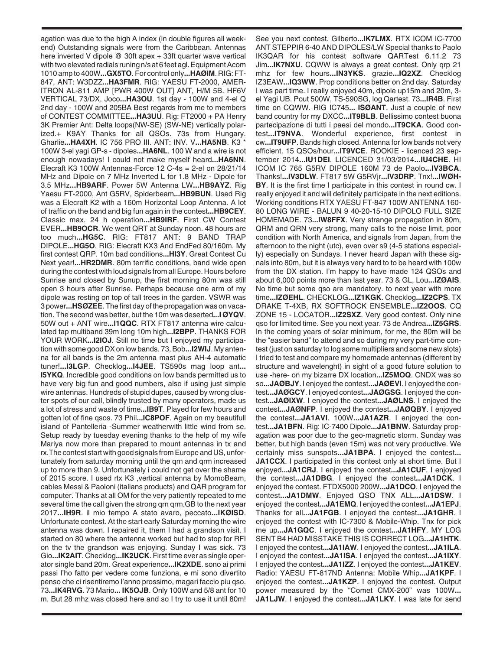agation was due to the high A index (in double figures all weekend) Outstanding signals were from the Caribbean. Antennas here inverted V dipole @ 30ft apex + 33ft quarter wave vertical with two elevated radials runing n/s at 6 feet agl. Equipment Acom 1010 amp to 400W**...GX5TO**. For control only**...HAØIM**. RIG: FT-847, ANT: W3DZZ**...HA3FMR**. RIG: YAESU FT-2000, AMER-ITRON AL-811 AMP [PWR 400W OUT] ANT, H/M 5B. HF6V VERTICAL 73/DX, Joco**...HA3OU**. 1st day - 100W and 4-el Q 2nd day - 100W and 205BA Best regards from me to members of CONTEST COMMITTEE**...HA3UU**. Rig: FT2000 + PA Henry 3K Premier Ant: Delta loops(NW-SE) (SW-NE) vertically polarized.+ K9AY Thanks for all QSOs. 73s from Hungary. Gharlie**...HA4XH**. IC 756 PRO III. ANT: INV. V**...HA5NB**. K3 \* 100W 3-el yagi GP-s - dipoles**...HA6NL**. 100 W and a wire is not enough nowadays! I could not make myself heard**...HA6NN**. Elecraft K3 100W Antennas-Force 12 C-4s = 2-el on 28/21/14 MHz and Dipole on 7 MHz Inverted L for 1.8 MHz - Dipole for 3.5 MHz**...HB9ARF**. Power 5W Antenna LW**...HB9AYZ**. Rig Yaesu FT-2000, Ant G5RV, Spiderbeam**...HB9BUN**. Used Rig was a Elecraft K2 with a 160m Horizontal Loop Antenna. A lot of traffic on the band and big fun again in the contest**...HB9CEY**. Classic max. 24 h operation**...HB9IRF**. First CW Contest EVER**...HB9OCR**. We went QRT at Sunday noon. 48 hours are too much**...HG5C**. RIG: FT817 ANT: 9 BAND TRAP DIPOLE**...HG5O**. RIG: Elecraft KX3 And EndFed 80/160m. My first contest QRP. 10m bad conditions**...HI3Y**. Great Contest Cu Next year!**...HR2DMR**. 80m terrific conditions, band wide open during the contest with loud signals from all Europe. Hours before Sunrise and closed by Sunup, the first morning 80m was still open 3 hours after Sunrise. Perhaps because one arm of my dipole was resting on top of tall trees in the garden. VSWR was 3 power**...HSØZEE**. The first day of the propagation was on vacation. The second was better, but the 10m was deserted**...I ØYQV**. 50W out + ANT wire**...I1QQC**. RTX FT817 antenna wire calculated tap multiband 39m long 10m high**...I2BPP**. THANKS FOR YOUR WORK**...I2IOJ**. Still no time but I enjoyed my participation with some good DX on low bands. 73, Bob**...I2WIJ**. My antenna for all bands is the 2m antenna mast plus AH-4 automatic tuner!**...I3LGP**. Checklog**...I4JEE**. TS590s mag loop ant**... I5YKQ**. Incredible good conditions on low bands permitted us to have very big fun and good numbers, also if using just simple wire antennas. Hundreds of stupid dupes, caused by wrong cluster spots of our call, blindly trusted by many operators, made us a lot of stress and waste of time**...IB9T**. Played for few hours and gotten lot of fine qsos. 73 Phil**...IC8POF**. Again on my beautifull island of Pantelleria -Summer weatherwith little wind from se. Setup ready by tuesday evening thanks to the help of my wife Mariya now more than prepared to mount antennas in tx and rx.The contest start with good signals from Europe and US, unfortunately from saturday morning until the qrn and qrm increased up to more than 9. Unfortunately i could not get over the shame of 2015 score. I used rtx K3 ,vertical antenna by MomoBeam, cables Messi & Paoloni (italians products) and QAR program for computer. Thanks at all OM for the very patiently repeated to me several time the call given the strong qrn qrm.GB to the next year 2017**...IH9R**. il mio tempo A stato avaro, peccato**...IKØISD**. Unfortunate contest. At the start early Saturday morning the wire antenna was down. I repaired it, them I had a grandson visit. I started on 80 where the antenna worked but had to stop for RFI on the tv the grandson was enjoying. Sunday I was sick. 73 Gio**...IK2AIT**. Checklog**...IK2UCK**. First time ever as single operator single band 20m. Great experience**...IK2XDE**. sono ai primi passi l'ho fatto per vedere come funziona, e mi sono divertito penso che ci risentiremo l'anno prossimo, magari faccio piu qso. 73**...IK4RVG**. 73 Mario**... IK5OJB**. Only 100W and 5/8 ant for 10 m. But 28 mhz was closed here and so I try to use it until 80m!

See you next contest. Gilberto**...IK7LMX**. RTX ICOM IC-7700 ANT STEPPIR 6-40 AND DIPOLES/LW Special thanks to Paolo IK3QAR for his contest software QARTest 6.11.2 73 Jim**...IK7NXU**. CQWW is always a great contest. Only qrp 21 mhz for few hours**...IN3YKS**. grazie**...IQ2XZ**. Checklog IZ3EAW**...IQ3WW**. Prop conditions better on 2nd day. Saturday I was part time. I really enjoyed 40m, dipole up15m and 20m, 3 el Yagi UB. Pout 500W, TS-590SG, log Qartest. 73**...IR4B**. First time on CQWW. RIG IC745**... ISØANT**. Just a couple of new band country for my DXCC**...IT9BLB**. Bellissimo contest buona partecipazione di tutti i paesi del mondo**...IT9CKA**. Good contest**...IT9NVA**. Wonderful experience, first contest in cw**...IT9UFP**. Bands high closed. Antenna for low bands not very efficient. 15 QSOs/hour**...IT9VCE**. ROOKIE - licenced 23 september 2014**...IU1DEI**. LICENCED 31/03/2014**...IU4CHE**. HI ICOM IC 765 G5RV DIPOLE 160M 73 de Paolo**...IV3BCA**. Thanks!**...IV3DLW**. FT817 5W G5RVjr**...IV3DRP**. Tnx!**...IWØH-BY**. It is the first time I participate in this contest in round cw. I really enjoyed it and will definitely participate in the next editions. Working conditions RTX YAESU FT-847 100W ANTENNA 160- 80 LONG WIRE - BALUN 9 40-20-15-10 DIPOLO FULL SIZE HOMEMADE. 73**...IW8FFX**. Very strange propagation in 80m, QRM and QRN very strong, many calls to the noise limit, poor condition with North America, and signals from Japan, from the afternoon to the night (utc), even over s9 (4-5 stations especially) especially on Sundays. I never heard Japan with these signals into 80m, but it is always very hard to to be heard with 100w from the DX station. I'm happy to have made 124 QSOs and about 6,000 points more than last year. 73 & GL, Lou**...IZØAIS**. No time but some qso are mandatory. to next year with more time**...IZØEHL**. CHECKLOG**...IZ1KGK**. Checklog**...IZ2CPS**. TX DRAKE T-4XB, RX SOFTROCK ENSEMBLE**...IZ2OOS**. CQ ZONE 15 - LOCATOR**...IZ2SXZ**. Very good contest. Only nine qso for limited time. See you next year. 73 de Andrea**...IZ5GRS**. In the coming years of solar minimum, for me, the 80m will be the "easier band" to attend and so during my very part-time contest (just on saturday to log some multipliers and some new slots) I tried to test and compare my homemade antennas (different by structure and wavelenght) in sight of a good future solution to use -here- on my bizarre DX location**...IZ5MOQ**. CNDX was so so**...JAØBJY**. I enjoyed the contest**...JAØEVI**. I enjoyed the contest**...JAØGCY**. I enjoyed contest**...JAØGSG**. I enjoyed the contest**...JAØIXW**. I enjoyed the contest**...JAØLNS**. I enjoyed the contest**...JAØNFP**. I enjoyed the contest**...JAØQBY**. I enjoyed the contest**...JA1AVI**. 100W**...JA1AZR**. I enjoyed the contest**...JA1BFN**. Rig: IC-7400 Dipole**...JA1BNW**. Saturday propagation was poor due to the geo-magnetic storm. Sunday was better, but high bands (even 15m) was not very productive. We certainly miss sunspots**...JA1BPA**. I enjoyed the contest**... JA1CCX**. I participated in this contest only at short time. But I enjoyed**...JA1CRJ**. I enjoyed the contest**...JA1CUF**. I enjoyed the contest**...JA1DBG**. I enjoyed the contest**...JA1DCK**. I enjoyed the contest. FTDX5000 200W**...JA1DCO**. I enjoyed the contest**...JA1DMW**. Enjoyed QSO TNX ALL**...JA1DSW**. I enjoyed the contest**...JA1EMQ**. I enjoyed the contest**...JA1EPJ**. Thanks for all**...JA1FGB**. I enjoyed the contest**...JA1GHR**. I enjoyed the contest with IC-7300 & Mobile-Whip. Tnx for pick me up**...JA1GQC**. I enjoyed the contest**...JA1HFY**. MY LOG SENT B4 HAD MISSTAKE THIS IS CORRECT LOG**...JA1HTK**. I enjoyed the contest**...JA1IAW**. I enjoyed the contest**...JA1ILA**. I enjoyed the contest**...JA1ISA**. I enjoyed the contest**...JA1IXY**. I enjoyed the contest**...JA1IZZ**. I enjoyed the contest**...JA1KEV**. Radio: YAESU FT-817ND Antenna: Mobile Whip**...JA1KPF**. I enjoyed the contest**...JA1KZP**. I enjoyed the contest. Output power measured by the "Comet CMX-200" was 100W**... JA1LJW**. I enjoyed the contest**...JA1LKY**. I was late for send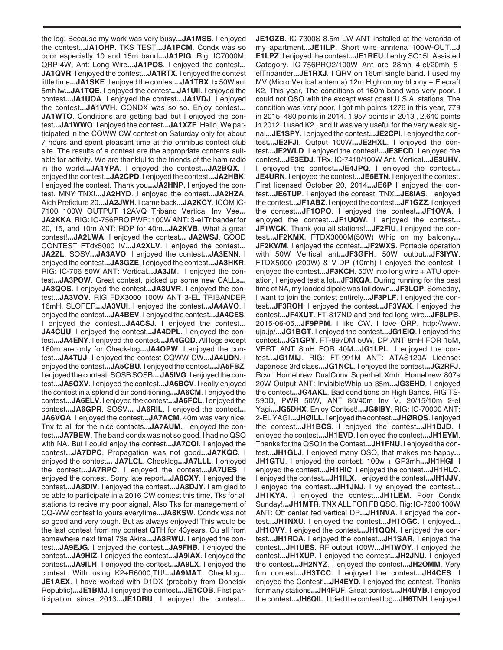the log. Because my work was very busy**...JA1MSS**. I enjoyed the contest**...JA1OHP**. TKS TEST**...JA1PCM**. Condx was so poor especially 10 and 15m band**...JA1PIG**. Rig: IC7000M, QRP-4W, Ant: Long Wire**...JA1POS**. I enjoyed the contest**... JA1QVR**. I enjoyed the contest**...JA1RTX**. I enjoyed the contest little time**...JA1SKE**. I enjoyed the contest**...JA1TBX**. tx 50W ant 5mh lw**...JA1TQE**. I enjoyed the contest**...JA1UII**. I enjoyed the contest**...JA1UOA**. I enjoyed the contest**...JA1VDJ**. I enjoyed the contest**...JA1VVH**. CONDX was so so. Enjoy contest**... JA1WTO**. Conditions are getting bad but I enjoyed the contest**...JA1WWO**. I enjoyed the contest**...JA1XZF**. Hello, We participated in the CQWW CW contest on Saturday only for about 7 hours and spent pleasant time at the omnibus contest club site. The results of a contest are the appropriate contents suitable for activity. We are thankful to the friends of the ham radio in the world**...JA1YPA**. I enjoyed the contest**...JA2BQX**. I enjoyed the contest**...JA2CPD**. I enjoyed the contest**...JA2HBK**. I enjoyed the contest. Thank you**...JA2HNP**. I enjoyed the contest. MNY TNX!**...JA2HYD**. I enjoyed the contest**...JA2HZA**. Aich Preficture 20**...JA2JWH**. I came back**...JA2KCY**. ICOM IC-7100 100W OUTPUT 12AVQ Triband Vertical Inv Vee**... JA2KKA**. RIG: IC-756PRO PWR: 100W ANT: 3-el Tribander for 20, 15, and 10m ANT: RDP for 40m**...JA2KVB**. What a great contest!**...JA2LWA**. I enjoyed the contest**... JA2WSJ**. GOOD CONTEST FTdx5000 IV**...JA2XLV**. I enjoyed the contest**... JA2ZL**. SOSV**...JA3AVO**. I enjoyed the contest**...JA3ENN**. I enjoyed the contest**...JA3GZE**. I enjoyed the contest**...JA3HKR**. RIG: IC-706 50W ANT: Vertical**...JA3JM**. I enjoyed the contest**...JA3POW**. Great contest, picked up some new CALLs**... JA3QOS**. I enjoyed the contest**...JA3UVR**. I enjoyed the contest**...JA3VOV**. RIG FDX3000 100W ANT 3-EL TRIBANDER 16mH, SLOPER**...JA3VUI**. I enjoyed the contest**...JA4AVO**. I enjoyed the contest**...JA4BEV**. I enjoyed the contest**...JA4CES**. I enjoyed the contest**...JA4CSJ**. I enjoyed the contest**... JA4CUU**. I enjoyed the contest**...JA4DPL**. I enjoyed the contest**...JA4ENY**. I enjoyed the contest**...JA4GQD**. All logs except 160m are only for Check-log**...JA4OPW**. I enjoyed the contest**...JA4TUJ**. I enjoyed the contest CQWW CW**...JA4UDN**. I enjoyed the contest**...JA5CBU**. I enjoyed the contest**...JA5FBZ**. I enjoyed the contest. SOSB SOSB**... JA5IVG**. I enjoyed the contest**...JA5OXV**. I enjoyed the contest**...JA6BCV**. I really enjoyed the contest in a splendid air conditioning**...JA6CM**. I enjoyed the contest**...JA6ELV**. I enjoyed the contest**...JA6FCL**. I enjoyed the contest**...JA6GPR**. SOSV**... JA6RIL**. I enjoyed the contest**... JA6VQA**. I enjoyed the contest**...JA7ACM**. 40m was very nice. Tnx to all for the nice contacts**...JA7AUM**. I enjoyed the contest**...JA7BEW**. The band condx was not so good. I had no QSO with NA. But I could enjoy the contest**...JA7COI**. I enjoyed the contest**...JA7DPC**. Propagation was not good**...JA7KQC**. I enjoyed the contest**... JA7LCL**. Checklog**...JA7LLL**. I enjoyed the contest**...JA7RPC**. I enjoyed the contest**...JA7UES**. I enjoyed the contest. Sorry late report**...JA8CXY**. I enjoyed the contest**...JA8DIV**. I enjoyed the contest**...JA8DJY**. I am glad to be able to participate in a 2016 CW contest this time. Tks for all stations to recive my poor signal. Also Tks for management of CQ-WW contest to yours everytime**...JA8KSW**. Condx was not so good and very tough. But as always enjoyed! This would be the last contest from my contest QTH for 43years. Cu all from somewhere next time! 73s Akira**...JA8RWU**. I enjoyed the contest**...JA9EJG**. I enjoyed the contest**...JA9FHB**. I enjoyed the contest**...JA9HIZ**. I enjoyed the contest**...JA9IAX**. I enjoyed the contest**...JA9ILH**. I enjoyed the contest**...JA9LX**. I enjoyed the contest. With using K2+R6000,TU!**...JA9MAT**. Checklog**... JE1AEX**. I have worked with D1DX (probably from Donetsk Republic)**...JE1BMJ**. I enjoyed the contest**...JE1COB**. First participation since 2013**...JE1DRU**. I enjoyed the contest**...**

**JE1GZB**. IC-7300S 8.5m LW ANT installed at the veranda of my apartment**...JE1ILP**. Short wire anntena 100W-OUT**...J E1LPZ**. I enjoyed the contest**...JE1REU**. I entry SO15L Assisted Category. IC-756PRO2/100W Ant are 28mh 4-el/20mh 5 elTribander**...JE1RXJ**. I QRV on 160m single band. I used my MV (Micro Vertical antenna) 12m High on my blcony + Elecraft K2. This year, The conditions of 160m band was very poor. I could not QSO with the except west coast U.S.A. stations. The condition was very poor. I got mh points 1276 in this year, 779 in 2015, 480 points in 2014, 1,957 points in 2013 , 2,640 points in 2012. I used K2 , and It was very useful for the very weak signal**...JE1SPY**. I enjoyed the contest**...JE2CPI**. I enjoyed the contest**...JE2FJI**. Output 100W**...JE2HXL**. I enjoyed the contest**...JE2WLD**. I enjoyed the contest!**...JE3ECD**. I enjoyed the contest**...JE3EDJ**. TRx. IC-7410/100W Ant. Vertical**...JE3UHV**. I enjoyed the contest**...JE4JPQ**. I enjoyed the contest**... JE4URN**. I enjoyed the contest**...JE6ETN**. I enjoyed the contest. First licensed October 20, 2014**...JE6P** I enjoyed the contest**...JE6TUP**. I enjoyed the contest. TNX**...JE8IAS**. I enjoyed the contest**...JF1ABZ**. I enjoyed the contest**...JF1GZZ**. I enjoyed the contest**...JF1OPO**. I enjoyed the contest**...JF1OVA**. I enjoyed the contest**...JF1UOW**. I enjoyed the contest**... JF1WCK**. Thank you all stations!**...JF2FIU**. I enjoyed the contest**...JF2KMX**. FTDX3000M(50W) Whip on my balcony**... JF2KWM**. I enjoyed the contest**...JF2WXS**. Portable operation with 50W Vertical ant**...JF3GFH**. 50W output**...JF3IYW**. FTDX5000 (200W) & V-DP (10mh) I enjoyed the contest. I enjoyed the contest**...JF3KCH**. 50W into long wire + ATU operation, I enjoyed test a lot**...JF3KQA**. During running for the best time of NA, my loaded dipole was fail down**...JF3LOP**. Someday, I want to join the contest entirely**...JF3PLF**. I enjoyed the contest**...JF3ROH**. I enjoyed the contest**...JF3VAX**. I enjoyed the contest**...JF4XUT**. FT-817ND and end fed long wire**...JF8LPB**. 2015-06-05**...JF9PPM**. I like CW. I love QRP. http://www. uja.jp/**...JG1BGT**. I enjoyed the contest**...JG1EIQ**. I enjoyed the contest**...JG1GPY**. FT-897DM 50W, DP ANT 8mH FOR 15M, VERT ANT 8mH FOR 40M**...JG1LPL**. I enjoyed the contest**...JG1MIJ**. RIG: FT-991M ANT: ATAS120A License: Japanese 3rd class**...JG1NCL**. I enjoyed the contest**...JG2RFJ**. Rcvr: Homebrew DualConv Superhet Xmtr: Homebrew 807s 20W Output ANT: InvisibleWhip up 35m**...JG3EHD**. I enjoyed the contest**...JG4AKL**. Bad conditions on High Bands. RIG TS-590D, PWR 50W, ANT 80/40m Inv V, 20/15/10m 2-el Yagi**...JG5DHX**. Enjoy Contest!**...JG8IBY**. RIG: IC-70000 ANT: 2-EL YAGI**...JHØILL**. I enjoyed the contest**...JHØROS**. I enjoyed the contest**...JH1BCS**. I enjoyed the contest**...JH1DJD**. I enjoyed the contest**...JH1EVD**. I enjoyed the contest**...JH1EYM**. Thanks for the QSO in the Contest**...JH1FNU**. I enjoyed the contest**...JH1GLJ**. I enjoyed many QSO, that makes me happy**... JH1GTU**. I enjoyed the contest. 100w + GP3mh**...JH1HGI**. I enjoyed the contest**...JH1HIC**. I enjoyed the contest**...JH1HLC**. I enjoyed the contest**...JH1ILX**. I enjoyed the contest**...JH1JJV**. I enjoyed the contest**...JH1JNJ**. I vy enjoyed the contest**... JH1KYA**. I enjoyed the contest**...JH1LEM**. Poor Condx Sunday!**...JH1MTR**. TNX ALL FOR FB QSO. Rig: IC-7600 100W ANT: Off center fed vertical DP**...JH1NVA**. I enjoyed the contest**...JH1NXU**. I enjoyed the contest**...JH1OGC**. I enjoyed**... JH1OVY**. I enjoyed the contest**...JH1QQN**. I enjoyed the contest**...JH1RDA**. I enjoyed the contest**...JH1SAR**. I enjoyed the contest**...JH1UES**. RF output 100W**...JH1WOY**. I enjoyed the contest**...JH1XUP**. I enjoyed the contest**...JH2JNU**. I enjoyed the contest**...JH2NYZ**. I enjoyed the contest**...JH2OMM**. Very fun contest**...JH3TCC**. I enjoyed the contest**...JH4CES**. I enjoyed the Contest!**...JH4EYD**. I enjoyed the contest. Thanks for many stations**...JH4FUF**. Great contest**...JH4UYB**. I enjoyed the contest**...JH6QIL**. I tried the contest log**...JH6TNH**. I enjoyed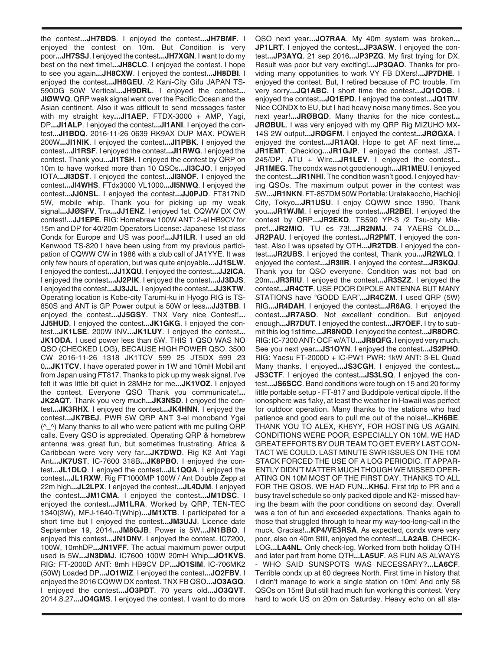the contest**...JH7BDS**. I enjoyed the contest**...JH7BMF**. I enjoyed the contest on 10m. But Condition is very poor**...JH7SSJ**. I enjoyed the contest**...JH7XGN**. I want to do my best on the next time!**...JH8CLC**. I enjoyed the contest. I hope to see you again**...JH8CXW**. I enjoyed the contest**...JH8DBI**. I enjoyed the contest**...JH8GEU**. /2 Kani-City Gifu JAPAN TS-590DG 50W Vertical**...JH9DRL**. I enjoyed the contest**... JIØWVQ**. QRP weak signal went over the Pacific Ocean and the Asian continent. Also it was difficult to send messages faster with my straight key**...JI1AEP**. FTDX-3000 + AMP, Yagi, DP**...JI1ALP**. I enjoyed the contest**...JI1ANI**. I enjoyed the contest**...JI1BDQ**. 2016-11-26 0639 RK9AX DUP MAX. POWER 200W**...JI1NIK**. I enjoyed the contest**...JI1PBK**. I enjoyed the contest**...JI1RSF**. I enjoyed the contest**...JI1RWG**. I enjoyed the contest. Thank you**...JI1TSH**. I enjoyed the contest by QRP on 10m to have worked more than 10 QSOs**...JI3CJO**. I enjoyed IOTA**...JI3DST**. I enjoyed the contest**...JI3NOF**. I enjoyed the contest**...JI4WHS**. FTdx3000 VL1000**...JI5NWQ**. I enjoyed the contest**...JJ0NSL**. I enjoyed the contest**...JJ0PJD**. FT817ND 5W, mobile whip. Thank you for picking up my weak signal**...JJØSFV**. Tnx**...JJ1ENZ**. I enjoyed 1st. CQWW DX CW contest!**...JJ1EPE**. RIG: Homebrew 100W ANT: 2-el HB9CV for 15m and DP for 40/20m Operators License: Japanese 1st class Condx for Europe and US was poor!**...JJ1ILR**. I used an old Kenwood TS-820 I have been using from my previous participation of CQWW CW in 1986 with a club call of JA1YYE. It was only few hours of operation, but was quite enjoyable**...JJ1SLW**. I enjoyed the contest**...JJ1XQU**. I enjoyed the contest**...JJ2ICA**. I enjoyed the contest**...JJ2PIK**. I enjoyed the contest**...JJ3DJS**. I enjoyed the contest**...JJ3JJL**. I enjoyed the contest**...JJ3KTW**. Operating location is Kobe-city Tarumi-ku in Hyogo RIG is TS-850S and ANT is GP Power output is 50W or less**...JJ3TBB**. I enjoyed the contest**...JJ5GSY**. TNX Very nice Contest!**... JJ5HUD**. I enjoyed the contest...**JK1GKG**. I enjoyed the contest**...JK1LSE**. 200W INV**...JK1LUY**. I enjoyed the contest**... JK1ODA**. I used power less than 5W. THIS 1 QSO WAS NO QSO (CHECKED LOG), BECAUSE HIGH POWER QSO. 3500 CW 2016-11-26 1318 JK1TCV 599 25 JT5DX 599 23 0**...JK1TCV**. I have operated power in 1W and 10mH Mobil ant from Japan using FT817. Thanks to pick up my weak signal. I've felt it was little bit quiet in 28MHz for me**...JK1VOZ**. I enjoyed the contest. Everyone QSO Thank you communicate!**... JK2AQT**. Thank you very much**...JK3NSD**. I enjoyed the contest**...JK3RHX**. I enjoyed the contest**...JK4HNN**. I enjoyed the contest**...JK7BEJ**. PWR 5W QRP ANT 3-el monoband Ygai  $(^\wedge$   $^\wedge)$  Many thanks to all who were patient with me pulling QRP calls. Every QSO is appreciated. Operating QRP & homebrew antenna was great fun, but sometimes frustrating. Africa & Caribbean were very very far**...JK7DWD**. Rig K2 Ant Yagi Ant**...JK7UST**. IC-7600 318B**...JK8PBO**. I enjoyed the contest**...JL1DLQ**. I enjoyed the contest**...JL1QQA**. I enjoyed the contest**...JL1RXW**. Rig FT1000MP 100W / Ant Double Zepp at 22m high**...JL2LPX**. I enjoyed the contest**...JL4DJM**. I enjoyed the contest**...JM1CMA**. I enjoyed the contest**...JM1DSC**. I enjoyed the contest**...JM1LRA**. Worked by QRP, TEN-TEC 1340(3W), MFJ-1640-T(Whip)**...JM1XTB**. I participated for a short time but I enjoyed the contest**...JM3UJJ**. Licence date September 19, 2014**...JM8GJB**. Power is 5W**...JN1BBO**. I enjoyed this contest**...JN1DNV**. I enjoyed the contest. IC7200, 100W, 10mhDP**...JN1VFF**. The actual maximum power output used is 5W**...JN3DMJ**. IC7600 100W 20mH Whip**...JO1KVS**. RIG: FT-2000D ANT: 8mh HB9CV DP**...JO1SIM**. IC-706MK2 (50W) Loaded DP**...JO1WIZ**. I enjoyed the contest**...JO2FBV**. I enjoyed the 2016 CQWW DX contest. TNX FB QSO**...JO3AGQ**. I enjoyed the contest**...JO3PDT**. 70 years old**...JO3QVT**. 2014.8.27**...JO4GMS**. I enjoyed the contest. I want to do more

QSO next year**...JO7RAA**. My 40m system was broken**... JP1LRT**. I enjoyed the contest**...JP3ASW**. I enjoyed the contest**...JP3AYQ**. 21 sep 2016**...JP3PZG**. My first trying for DX. Result was poor but very exciting!**...JP3QAO**. Thanks for providing many oppotunities to work VY FB DXers!**...JP7DHE**. I enjoyed the contest. But, I retired because of PC trouble. I'm very sorry**...JQ1ABC**. I short time the contest**...JQ1COB**. I enjoyed the contest**...JQ1EPD**. I enjoyed the contest**...JQ1TIV**. Nice CONDX to EU, but I had heavy noise many times. See you next year!**...JRØBQD**. Many thanks for the nice contest**... JRØBUL**. I was very enjoyed with my QRP Rig MIZUHO MX-14S 2W output**...JRØGFM**. I enjoyed the contest**...JRØGXA**. I enjoyed the contest**...JR1AQI**. Hope to get AF next time**... JR1EMT**. Checklog**...JR1GJP**. I enjoyed the contest. JST-245/DP. ATU + Wire**...JR1LEV**. I enjoyed the contest**... JR1MEG**. The condx was not good enough**...JR1MEU**. I enjoyed the contest**...JR1NHI**. The condition wasn't good. I enjoyed having QSOs. The maximum output power in the contest was 5W**...JR1NKN**. FT-857DM 50W Portable: Uratakaocho, Hachioji City, Tokyo**...JR1USU**. I enjoy CQWW since 1990. Thank you**...JR1WJM**. I enjoyed the contest**...JR2BEI**. I enjoyed the contest by QRP**...JR2EKD**. TS590 YP-3 /2 Tsu-city Miepref**...JR2MIO**. TU es 73!**...JR2NMJ**. 74 YAERS OLD**... JR2PAU**. I enjoyed the contest**...JR2PMT**. I enjoyed the contest. Also I was upseted by OTH**...JR2TDB**. I enjoyed the contest**...JR2UBS**. I enjoyed the contest, Thank you**...JR2WLQ**. I enjoyed the contest**...JR3IIR**. I enjoyed the contest**...JR3KQJ**. Thank you for QSO everyone. Condition was not bad on 20m**...JR3RIU**. I enjoyed the contest**...JR3SZZ**. I enjoyed the contest**...JR4CTF**. USE POOR DIPOLE ANTENNA BUT MANY STATIONS have "GODD EAR"**...JR4CZM**. I used QRP (5W) RIG**...JR4DAH**. I enjoyed the contest**...JR6AG**. I enjoyed the contest**...JR7ASO**. Not excellent condition. But enjoyed enough**...JR7DUT**. I enjoyed the contest**...JR7OEF**. I try to submit this log 1st time**...JR8NOD**. I enjoyed the contest**...JR8ORC**. RIG: IC-7300 ANT: OCF w/ATU**...JR8QFG**. I enjoyed very much. See you next year**...JS1OYN**. I enjoyed the contest**...JS2PHO**. RIG: Yaesu FT-2000D + IC-PW1 PWR: 1kW ANT: 3-EL Quad Many thanks. I enjoyed**...JS3CGH**. I enjoyed the contest**... JS3CTF**. I enjoyed the contest**...JS3LSQ**. I enjoyed the contest**...JS6SCC**. Band conditions were tough on 15 and 20 for my little portable setup - FT-817 and Buddipole vertical dipole. If the ionosphere was flaky, at least the weather in Hawaii was perfect for outdoor operation. Many thanks to the stations who had patience and good ears to pull me out of the noise!**...KH6BE**. THANK YOU TO ALEX, KH6YY, FOR HOSTING US AGAIN. CONDITIONS WERE POOR, ESPECIALLY ON 10M. WE HAD GREAT EFFORTS BY OUR TEAM TO GET EVERY LAST CON-TACT WE COULD. LAST MINUTE SWR ISSUES ON THE 10M STACK FORCED THE USE OF A LOG PERIODIC. IT APPAR-ENTLY DIDN'T MATTER MUCH THOUGH WE MISSED OPER-ATING ON 10M MOST OF THE FIRST DAY. THANKS TO ALL FOR THE QSOS. WE HAD FUN**...KH6J**. First trip to PR and a busy travel schedule so only packed dipole and K2- missed having the beam with the poor conditions on second day. Overall was a ton of fun and exceeded expectations. Thanks again to those that struggled through to hear my way-too-long-call in the muck. Gracias!**...KP4/VE3RSA**. As expected, condx were very poor, also on 40m Still, enjoyed the contest!**...LA2AB**. CHECK-LOG**...LA4NL**. Only check-log. Worked from both holiday QTH and later part from home QTH**...LA5UF**. AS FUN AS ALWAYS - WHO SAID SUNSPOTS WAS NECESSARY?**...LA6CF**. Terrible condx up at 60 degrees North. First time in history that I didn't manage to work a single station on 10m! And only 58 QSOs on 15m! But still had much fun working this contest. Very hard to work US on 20m on Saturday. Heavy echo on all sta-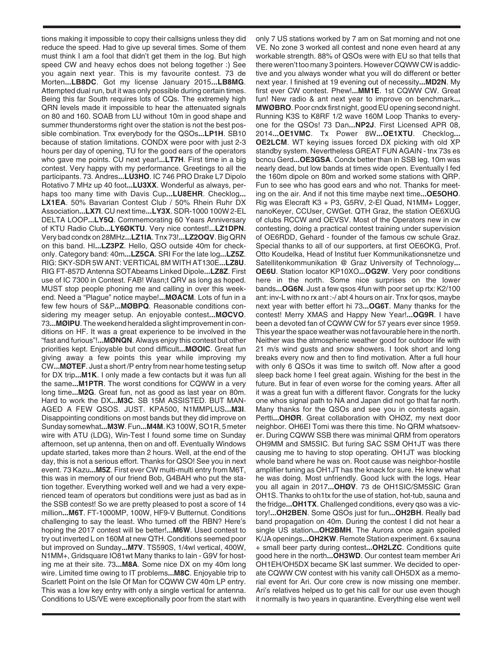tions making it impossible to copy their callsigns unless they did reduce the speed. Had to give up several times. Some of them must think I am a fool that didn't get them in the log. But high speed CW and heavy echos does not belong together :) See you again next year. This is my favourite contest. 73 de Morten**...LB8DC**. Got my license January 2015**...LB8MG**. Attempted dual run, but it was only possible during certain times. Being this far South requires lots of CQs. The extremely high QRN levels made it impossible to hear the attenuated signals on 80 and 160. SOAB from LU without 10m in good shape and summer thunderstorms right over the station is not the best possible combination. Tnx everybody for the QSOs**...LP1H**. SB10 because of station limitations. CONDX were poor with just 2-3 hours per day of opening, TU for the good ears of the operators who gave me points. CU next year!**...LT7H**. First time in a big contest. Very happy with my performance. Greetings to all the participants. 73. Andres**...LU3HO**. IC 746 PRO Drake L7 Dipolo Rotativo 7 MHz up 40 foot**...LU3XX**. Wonderful as always, perhaps too many time with Davis Cup**...LU8EHR**. Checklog**... LX1EA**. 50% Bavarian Contest Club / 50% Rhein Ruhr DX Association**...LX7I**. CU next time**...LY3X**. SDR-1000 100W 2-EL DELTA LOOP**...LY5Q**. Commemorating 60 Years Anniversary of KTU Radio Club**...LY6ØKTU**. Very nice contest!**...LZ1DPN**. Very bad condx on 28MHz**...LZ1IA**. Tnx 73!**...LZ2OQV**. Big QRN on this band. HI**...LZ3PZ**. Hello, QSO outside 40m for checkonly. Category band: 40m**...LZ5CA**. SRI For the late log**...LZ5Z**. RIG: SKY-SDR 5W ANT: VERTICAL 8M WITH AT130E**...LZ8U**. RIG FT-857D Antenna SOTAbeams Linked Dipole**...LZ8Z**. First use of IC 7300 in Contest. FAB! Wasn;t QRV as long as hoped. MUST stop people phoning me and calling in over this weekend. Need a "Plague" notice maybe!**...MØACM**. Lots of fun in a few few hours of S&P**...MØBPQ**. Reasonable conditions considering my meager setup. An enjoyable contest**...MØCVO**. 73**...MØIPU**. The weekend heralded a slight improvement in conditions on HF. It was a great experience to be involved in the "fast and furious"!**...MØNQN**. Always enjoy this contest but other priorities kept. Enjoyable but cond difficult**...MØOIC**. Great fun giving away a few points this year while improving my CW**...MØTEF**. Just a short /P entry from near home testing setup for DX trip**...M1K**. I only made a few contacts but it was fun all the same**...M1PTR**. The worst conditions for CQWW in a very long time**...M2G**. Great fun, not as good as last year on 80m. Hard to work the DX**...M3C**. SB 15M ASSISTED. BUT MAN-AGED A FEW QSOS. JUST. KPA500, N1MMPLUS**...M3I**. Disappointing conditions on most bands but they did improve on Sunday somewhat**...M3W**. Fun**...M4M**. K3 100W, SO1R, 5 meter wire with ATU (LDG), Win-Test I found some time on Sunday afternoon, set up antenna, then on and off. Eventually Windows update started, takes more than 2 hours. Well, at the end of the day, this is not a serious effort. Thanks for QSO! See you in next event. 73 Kazu**...M5Z**. First ever CW multi-multi entry from M6T, this was in memory of our friend Bob, G4BAH who put the station together. Everything worked well and we had a very experienced team of operators but conditions were just as bad as in the SSB contest! So we are pretty pleased to post a score of 14 million**...M6T**. FT-1000MP, 100W, HF9-V Butternut. Conditions challenging to say the least. Who turned off the RBN? Here's hoping the 2017 contest will be better!**...M6W**. Used contest to try out inverted L on 160M at new QTH. Conditions seemed poor but improved on Sunday**...M7V**. TS590S, 1/4wl vertical, 400W, N1MM+, Gridsquare IO81wt Many thanks to Iain - G9V for hosting me at their site. 73**...M8A**. Some nice DX on my 40m long wire. Limited time owing to IT problems**...M8C**. Enjoyable trip to Scarlett Point on the Isle Of Man for CQWW CW 40m LP entry. This was a low key entry with only a single vertical for antenna. Conditions to US/VE were exceptionally poor from the start with

only 7 US stations worked by 7 am on Sat morning and not one VE. No zone 3 worked all contest and none even heard at any workable strength. 88% of QSOs were with EU so that tells that there weren't too many 3 pointers. However CQWW CW is addictive and you always wonder what you will do different or better next year. I finished at 19 evening out of necessity**...MD2N**. My first ever CW contest. Phew!**...MM1E**. 1st CQWW CW. Great fun! New radio & ant next year to improve on benchmark**... MWØBRO**. Poor cndx first night, good EU opening second night. Running K3S to K8RF 1/2 wave 160M Loop Thanks to everyone for the QSOs! 73 Dan**...NP2J**. First Licensed APR 08, 2014**...OE1VMC**. Tx Power 8W**...OE1XTU**. Checklog**... OE2LCM**. WT keying issues forced DX picking with old XP standby system. Nevertheless GREAT FUN AGAIN - tnx 73s es bcncu Gerd**...OE3GSA**. Condx better than in SSB leg. 10m was nearly dead, but low bands at times wide open. Eventually I fed the 160m dipole on 80m and worked some stations with QRP. Fun to see who has good ears and who not. Thanks for meeting on the air. And if not this time maybe next time**...OE5OHO**. Rig was Elecraft K3 + P3, G5RV, 2-El Quad, N1MM+ Logger, nanoKeyer, CCUser, CWGet. QTH Graz, the station OE6XUG of clubs RCCW and OEVSV. Most of the Operators new in cw contesting, doing a practical contest training under supervision of OE6RDD, Gehard - founder of the famous cw schule Graz. Special thanks to all of our supporters, at first OE6OKG, Prof. Otto Koudelka, Head of Institut fuer Kommunikationsnetze und Satellitenkommunikation @ Graz University of Technology**... OE6U**. Station locator KP10XO**...OG2W**. Very poor conditions here in the north. Some nice surprises on the lower bands**...OG6N**. Just a few qsos 4fun with poor set up rtx: K2/100 ant: inv-L with no rx ant :-/ abt 4 hours on air. Tnx for qsos, maybe next year with better effort hi 73**...OG6T**. Many thanks for the contest! Merry XMAS and Happy New Year!**...OG9R**. I have been a devoted fan of CQWW CW for 57 years ever since 1959. This year the space weather was not favourable here in the north. Neither was the atmospheric weather good for outdoor life with 21 m/s wind gusts and snow showers. I took short and long breaks every now and then to find motivation. After a full hour with only 6 QSOs it was time to switch off. Now after a good sleep back home I feel great again. Wishing for the best in the future. But in fear of even worse for the coming years. After all it was a great fun with a different flavor. Congrats for the lucky one whos signal path to NA and Japan did not go that far north. Many thanks for the QSOs and see you in contests again. Pertti**...OHØR**. Great collaboration with OHØZ, my next door neighbor. OH6EI Tomi was there this time. No QRM whatsoever. During CQWW SSB there was minimal QRM from operators OH9MM and SM5SIC. But furing SAC SSM OH1JT was there causing me to having to stop operating. OH1JT was blocking whole band where he was on. Root cause was neighbor-hostile amplifier tuning as OH1JT has the knack for sure. He knew what he was doing. Most unfriendly. Good luck with the logs. Hear you all again in 2017**...OHØV**. 73 de OH1SIC/SM5SIC Gran OH1S. Thanks to oh1tx for the use of station, hot-tub, sauna and the fridge**...OH1TX**. Challenged conditions, every qso was a victory!**...OH2BEN**. Some QSOs just for fun**...OH2BH**. Really bad band propagation on 40m. During the contest I did not hear a single US station**...OH2BMH**. The Aurora once again spoiled K/JA openings**...OH2KW**. Remote Station experiment. 6 x sauna + small beer party during contest**...OH2LZC**. Conditions quite good here in the north**...OH3WD**. Our contest team member Ari OH1EH/OH5DX became SK last summer. We decided to operate CQWW CW contest with his vanity call OH5DX as a memorial event for Ari. Our core crew is now missing one member. Ari's relatives helped us to get his call for our use even though it normally is two years in quarantine. Everything else went well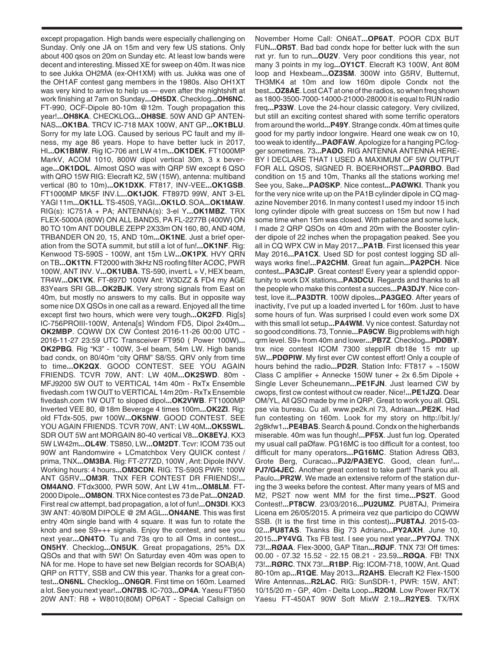except propagation. High bands were especially challenging on Sunday. Only one JA on 15m and very few US stations. Only about 400 qsos on 20m on Sunday etc. At least low bands were decent and interesting. Missed XE for sweep on 40m. It was nice to see Jukka OH2MA (ex-OH1XM) with us. Jukka was one of the OH1AF contest gang members in the 1980s. Also OH1XT was very kind to arrive to help us — even after the nightshift at work finishing at 7am on Sunday**...OH5DX**. Checklog**...OH6NC**. FT-990, OCF-Dipole 80-10m @12m. Tough propagation this year!**...OH8KA**. CHECKLOG**...OH8SE**. 50W AND GP ANTEN-NAS**...OK1BA**. TRCV IC-718 MAX 100W, ANT GP**...OK1BLU**. Sorry for my late LOG. Caused by serious PC fault and my illness, my age 86 years. Hope to have better luck in 2017, HI**...OK1BMW**. Rig IC-706 ant LW 41m**...OK1DEK**. FT1000MP MarkV, ACOM 1010, 800W dipol vertical 30m, 3 x beverage**...OK1DOL**. Almost QSO was with QRP 5W except 6 QSO with QRO 15W RIG: Elecraft K2, 5W (15W), antenna: multiband vertical (80 to 10m)**...OK1DXK**. FT817, INV-VEE**...OK1GSB**. FT1000MP MK5F INV.L**...OK1JOK**. FT897D 99W, ANT 3-EL YAGI 11m**...OK1LL**. TS-450S, YAGI**...OK1LO**. SOA**...OK1MAW**. RIG(s): IC751A + PA; ANTENNA(s): 3-el Y**...OK1MBZ**. TRX FLEX-5000A (80W) ON ALL BANDS, PA FL-2277B (400W) ON 80 TO 10m ANT DOUBLE ZEPP 2X33m ON 160, 80, AND 40M, TRBANDER ON 20, 15, AND 10m**...OK1NE**. Just a brief operation from the SOTA summit, but still a lot of fun!**...OK1NF**. Rig: Kenwood TS-590S - 100W, ant 15m LW**...OK1PX**. HVY QRN on TB**...OK1TN**. FT2000 with 3kHz NS roofing filter ACØC, PWR 100W, ANT INV. V**...OK1UBA**. TS-590, invert L + V, HEX beam, TR4W**...OK1VK**. FT-897D 100W Ant: W3DZZ & FD4 my AGE 83Years SRI GB**...OK2BJK**. Very strong signals from East on 40m, but mostly no answers to my calls. But in opposite way some nice DX QSOs in one call as a reward. Enjoyed all the time except first two hours, which were very tough**...OK2FD**. Rig[s] IC-756PROIII-100W, Antena[s] Windom FD5, Dipol 2x40m**... OK2MBP**. CQWW DX CW Contest 2016-11-26 00:00 UTC - 2016-11-27 23:59 UTC Transceiver FT950 ( Power 100W)**... OK2PBG**. Rig "K3" - 100W, 3-el beam, 54m LW. High bands bad condx, on 80/40m "city QRM" S8/S5. QRV only from time to time**...OK2QX**. GOOD CONTEST. SEE YOU AGAIN FRIENDS. TCVR 70W, ANT: LW 40M**...OK2SWD**. 80m - MFJ9200 5W OUT to VERTICAL 14m 40m - RxTx Ensemble fivedash.com 1W OUT to VERTICAL 14m 20m - RxTx Ensemble fivedash.com 1W OUT to sloped dipol**...OK2VWB**. FT1000MP Inverted VEE 80, @18m Beverage 4 times 100m**...OK2ZI**. Rig: old FTdx-505, pwr 100W**...OK5NW**. GOOD CONTEST. SEE YOU AGAIN FRIENDS. TCVR 70W, ANT: LW 40M**...OK5SWL**. SDR OUT 5W ant MORGAIN 80-40 vertical V8**...OK8EYJ**. KX3 5W LW42m**...OL4W**. TS850, LW**...OM2DT**. Tcvr: ICOM 735 out 90W ant Randomwire + LCmatchbox Very QUICK contest / prima, TNX**...OM3BA**. Rig: FT-277ZD, 100W , Ant: Dipole INVV. Working hours: 4 hours**...OM3CDN**. RIG: TS-590S PWR: 100W ANT G5RV**...OM3R**. TNX FER CONTEST DR FRIENDS!**... OM4ANO**. FTdx3000, PWR 50W, Ant LW 41m**...OM8LM**. FT-2000 Dipole**...OM8ON**. TRX Nice contest es 73 de Pat**...ON2AD**. First real cw attempt, bad propagation, a lot of fun!**...ON3DI**. KX3 3W ANT: 40/80M DIPOLE @ 2M AGL**...ON4ANE**. This was first entry 40m single band with 4 square. It was fun to rotate the knob and see S9+++ signals. Enjoy the contest, and see you next year**...ON4TO**. Tu and 73s qro to all Oms in contest**... ON5HY**. Checklog**...ON5UK**. Great propagations, 25% DX QSOs and that with 5W! On Saturday even 40m was open to NA for me. Hope to have set new Belgian records for SOAB(A) QRP on RTTY, SSB and CW this year. Thanks for a great contest**...ON6NL**. Checklog**...ON6QR**. First time on 160m. Learned a lot. See you next year!**...ON7BS**. IC-703**...OP4A**. Yaesu FT950 20W ANT: R8 + W8010(80M) OP6AT - Special Callsign on

November Home Call: ON6AT**...OP6AT**. POOR CDX BUT FUN**...OR5T**. Bad bad condx hope for better luck with the sun nxt yr. fun to run**...OU2V**. Very poor conditions this year, not many 3 points in my log**...OY1CT**. Elecraft K3 100W, Ant 80M loop and Hexbeam**...OZ3SM**. 300W into G5RV, Butternut, TH3MK4 at 10m and low 160m dipole Condx not the best**...OZ8AE**. Lost CAT at one of the radios, so when freq shown as 1800-3500-7000-14000-21000-28000 it is equal to RUN radio freq**...P33W**. Love the 24-hour classic category. Very civilized, but still an exciting contest shared with some terrific operators from around the world**...P49Y**. Strange condx. 40m at times quite good for my partly indoor longwire. Heard one weak cw on 10, too weak to identify**...PAØFAW**. Apologize for a hanging PC/logger sometimes. 73**...PAØO**. RIG ANTENNA ANTENNA HERE-BY I DECLARE THAT I USED A MAXIMUM OF 5W OUTPUT FOR ALL QSOS, SIGNED R. BOERHORST**...PAØRBO**. Bad condition on 15 and 10m, Thanks all the stations working me! See you, Sake**...PAØSKP**. Nice contest**...PAØWKI**. Thank you for the very nice write up on the PA1B cylinder dipole in CQ magazine November 2016. In many contest I used my indoor 15 inch long cylinder dipole with great success on 15m but now I had some time when 15m was closed. With patience and some luck, I made 2 QRP QSOs on 40m and 20m with the Booster cylinder dipole of 22 inches when the propagation peaked. See you all in CQ WPX CW in May 2017**...PA1B**. First licensed this year May 2016**...PA1CX**. Used SD for post contest logging SD allways works fine!**...PA2CHM**. Great fun again**...PA2PCH**. Nice contest**...PA3CJP**. Great contest! Every year a splendid opportunity to work DX stations**...PA3DCU**. Regards and thanks to all the people who make this contest a succes**...PA3DJY**. Nice contest, love it**...PA3DTR**. 100W dipoles**...PA3GEO**. After years of inactivity, I've put up a loaded inverted L for 160m. Just to have some hours of fun. Was surprised I could even work some DX with this small lot setup**...PA4WM**. Vy nice contest. Saturday not so good conditions. 73, Tonnie**...PA9CW**. Big problems with high qrm level. S9+ from 40m and lower**...PB7Z**. Checklog**...PDØBY**. tnx nice contest ICOM 7300 steppIR db18e 15 mtr up 5W**...PDØPIW**. My first ever CW contest effort! Only a couple of hours behind the radio**...PD2R**. Station Info: FT817 + ~150W Class C amplifier + Annecke 150W tuner + 2x 6.5m Dipole + Single Lever Scheunemann**...PE1FJN**. Just learned CW by cwops, first cw contest without cw reader. Nice!**...PE1JZQ**. Dear OM/YL, All QSO made by me in QRP. Great to work you all. QSL pse via bureau. Cu all. www.pe2k.nl 73, Adriaan**...PE2K**. Had fun contesting on 160m. Look for my story on http://bit.ly/ 2g8kfw1**...PE4BAS**. Search & pound. Condx on the higherbands miserable. 40m was fun though!**...PF5X**. Just fun log. Operated my usual call paØfaw. PG16MC is too difficult for a contest, too difficult for many operators**...PG16MC**. Station Adress QB3, Grote Berg, Curacao**...PJ2/PA3EYC**. Good, clean fun!**... PJ7/G4JEC**. Another great contest to take part! Thank you all. Paulo**...PR2W**. We made an extensive reform of the station during the 3 weeks before the contest. After many years of MS and M2, PS2T now went MM for the first time**...PS2T**. Good Contest!**...PT8CW**. 23/03/2016**...PU2UMZ**. PU8TAJ, Primeira Licena em 26/05/2015. A primeira vez que participo do CQWW SSB. (It is the first time in this contest)**...PU8TAJ**. 2015-03- 02**...PU8TAS**. Tkanks Big 73 Adriano**...PY2AXH**. June 10, 2015**...PY4VG**. Tks FB test. I see you next year**...PY7OJ**. TNX 73!**...RØAA**. Flex-3000, GAP Titan**...RØJF**. TNX 73! Off times: 00.00 - 07.32 15.52 - 22.15 08.21 - 23.59**...RØQA**. FB! TNX 73!**...RØRC**. TNX 73!**...R1BP**. Rig: ICOM-718, 100W, Ant. Quad 80-10m ap**...R1QE**. May 2013**...R2AHS**. Elecraft K2 Flex-1500 Wire Antennas**...R2LAC**. RIG: SunSDR-1, PWR: 15W, ANT: 10/15/20 m - GP, 40m - Delta Loop**...R2OM**. Low Power RX/TX Yaesu FT-450AT 90W Soft MixW 2.19**...R2YES**. TX/RX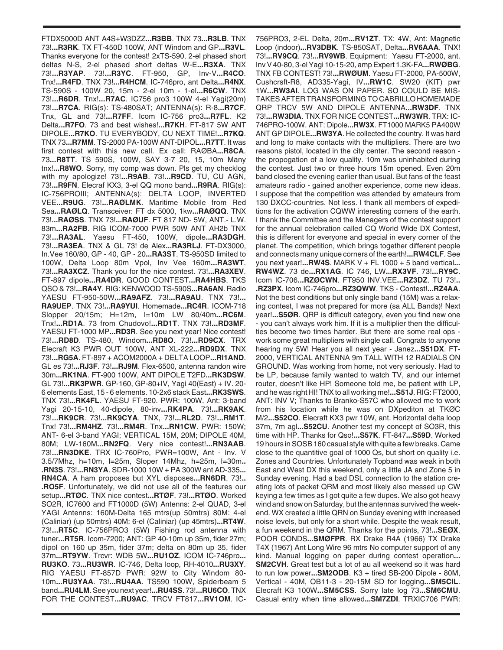FTDX5000D ANT A4S+W3DZZ**...R3BB**. TNX 73**...R3LB**. TNX 73!**...R3RK**. TX FT-450D 100W, ANT Windom and GP**...R3VL**. Thanks everyone for the contest! 2xTS-590, 2-el phased short deltas N-S, 2-el phased short deltas W-E**...R3XA**. TNX 73!**...R3YAP**. 73!**...R3YC**. FT-950, GP, Inv-V**...R4CO**. Tnx!**...R4FD**. TNX 73!**...R4HCM**. IC-746pro, ant Delta**...R4NX**. TS-590S - 100W 20, 15m - 2-el 10m - 1-el**...R6CW**. TNX 73!**...R6DR**. Tnx!**...R7AC**. IC756 pro3 100W 4-el Yagi(20m) 73!**...R7CA**. RIG(s): TS-480SAT; ANTENNA(s): R-8**...R7CF**. Tnx, GL and 73!**...R7FF**. Icom IC-756 pro3**...R7FL**. K2 Delta**...R7FO**. 73 and best wishes!**...R7KH**. FT-817 5W ANT DIPOLE**...R7KO**. TU EVERYBODY, CU NEXT TIME!**...R7KQ**. TNX 73**...R7MM**. TS-2000 PA-100W ANT-DIPOL**...R7TT**. It was first contest with this new call. Ex call: RAØBA**...R8CA**. 73**...R8TT**. TS 590S, 100W, SAY 3-7 20, 15, 10m Many tnx!**...R8WO**. Sorry, my comp was down. Pls get my checklog with my apologize! 73!**...R9AB**. 73!**...R9CD**. TU, CU AGN, 73!**...R9FN**. Elecraf KX3, 3-el QQ mono band**...R9RA**. RIG(s): IC-756PROIII; ANTENNA(s): DELTA LOOP, INVERTED VEE**...R9UG**. 73!**...RAØLMK**. Maritime Mobile from Red Sea**...RAØLQ**. Transceiver: FT dx 5000, 1kw**...RAØQQ**. TNX 73!**...RAØSS**. TNX 73!**...RAØUF**. FT 817 ND- 5W, ANT.- L.W. 83m**...RA2FB**. RIG ICOM-7000 PWR 50W ANT AH2b TNX 73!**...RA3AL**. Yaesu FT-450, 100W, dipole**...RA3DGH**. 73!**...RA3EA**. TNX & GL 73! de Alex**...RA3RLJ**. FT-DX3000, In.Vee 160/80, GP - 40, GP - 20**...RA3ST**. TS-950SD limited to 100W, Delta Loop 80m Vpol, Inv Vee 160m**...RA3WT**. 73!**...RA3XCZ**. Thank you for the nice contest. 73!**...RA3XEV**. FT-897 dipole**...RA4DR**. GOOD CONTEST**...RA4HBS**. TKS QSO & 73!**...RA4Y**. RIG: KENWOOD TS-590S**...RA6AN**. Radio YAESU FT-950-50W**...RA9AFZ**. 73!**...RA9AU**. TNX 73!**... RA9UEP**. TNX 73!**...RA9YUI**. Homemade**...RC4R**. ICOM-718 Slopper 20/15m; H=12m, l=10m LW 80/40m**...RC6M**. Tnx!**...RD1A**. 73 from Chudovo!**...RD1T**. TNX 73!**...RD3MF**. YAESU FT-1000 MP**...RD3R**. See you next year! Nice contest! 73!**...RD8D**. TS-480, Windom**...RD8O**. 73!**...RD9CX**. TRX Elecraft K3 PWR OUT 100W, ANT XL-222**...RD9DX**. TNX 73!**...RG5A**. FT-897 + ACOM2000A + DELTA LOOP**...RI1AND**. GL es 73!**...RJ3F**. 73!**...RJ9M**. Flex-6500, antenna randon wire 30m**...RK1NA**. FT-900 100W, ANT DIPOLE T2FD**...RK3DSW**. GL 73!**...RK3PWR**. GP-160, GP-80+IV, Yagi 40(East) + IV. 20- 6 elements East, 15 - 6 elements. 10-2x6 stack East**...RK3SWS**. TNX 73!**...RK4FL**. YAESU FT-920. PWR: 100W. Ant: 3-band Yagi 20-15-10, 40-dipole, 80-inv**...RK4PA**. 73!**...RK9AK**. 73!**...RK9CR**. 73!**...RK9CYA**. TNX, 73!**...RL2D**. 73!**...RM1T**. Tnx! 73!**...RM4HZ**. 73!**...RM4R**. Tnx**...RN1CW**. PWR: 150W; ANT- 6-el 3-band YAGI; VERTICAL 15M, 20M; DIPOLE 40M, 80M; LW-160M**...RN2FQ**. Very nice contest!**...RN3AAB**. 73!**...RN3DKE**. TRX IC-760Pro, PWR=100W, Ant - Inv. V 3.5/7Mhz, h=10m, l=25m, Sloper 14Mhz, h=25m, l=30m**.. .RN3S**. 73!**...RN3YA**. SDR-1000 10W + PA 300W ant AD-335**... RN4CA**. A ham proposes but XYL disposes**...RN6DR**. 73!**.. .RO5F**. Unfortunately, we did not use all of the features our setup**...RTØC**. TNX nice contest**...RTØF**. 73!**...RTØO**. Worked SO2R, IC7600 and FT1000D (5W) Antenns: 2-el QUAD, 3-el YAGI Antenns: 160M-Delta 165 mtrs(up 50mtrs) 80M: 4-el (Caliniar) (up 50mtrs) 40M: 6-el (Caliniar) (up 45mtrs)**...RT4W**. 73!**...RT5C**. IC-756PRO3 (5W) Fishing rod antenna with tuner**...RT5R**. Icom-7200; ANT: GP 40-10m up 35m, fider 27m; dipol on 160 up 35m, fider 37m; delta on 80m up 35, fider 37m**...RT9YW**. Trcvr: WDB 5W**...RU1OZ**. ICOM IC-746pro**... RU3KO**. 73**...RU3WR**. IC-746, Delta loop, RH-4010**...RU3XY**. RIG YAESU FT-857D PWR: 92W to City Windom 80- 10m**...RU3YAA**. 73!**...RU4AA**. TS590 100W, Spiderbeam 5 band**...RU4LM**. See you next year!**...RU4SS**. 73!**...RU6CO**. TNX FOR THE CONTEST**...RU9AC**. TRCV FT817**...RV1OM**. IC-

756PRO3, 2-EL Delta, 20m**...RV1ZT**. TX: 4W, Ant: Magnetic Loop (indoor)**...RV3DBK**. TS-850SAT, Delta**...RV6AAA**. TNX! 73!**...RV9CQ**. 73!**...RV9WB**. Equipment: Yaesu FT-2000, ant. Inv V 40-80, 3-el Yagi 10-15-20, amp Expert 1.3K-FA**...RWØBG**. TNX FB CONTEST! 73!**...RWØUM**. Yaesu FT-2000, PA-500W, Cushcrsft-R8, AD335-Yagi, IV**...RW1C**. SW20 (KIT) pwr 1W**...RW3AI**. LOG WAS ON PAPER. SO COULD BE MIS-TAKES AFTER TRANSFORMING TO CABRILLO HOMEMADE QRP TRCV 5W AND DIPOLE ANTENNA**...RW3DF**. TNX 73!**...RW3DIA**. TNX FOR NICE CONTEST**...RW3WR**. TRX: IC-746PRO-100W. ANT: Dipole**...RW3X**. FT1000 MARK5 PA400W ANT GP DIPOLE**...RW3YA**. He collected the country. It was hard and long to make contacts with the multipliers. There are two reasons pistol, located in the city center. The second reason the propogation of a low quality. 10m was uninhabited during the contest. Just two or three hours 15m opened. Even 20m band closed the evening earlier than usual. But fans of the feast amateurs radio - gained another experience, come new ideas. I suppose that the competition was attended by amateurs from 130 DXCC-countries. Not less. I thank all members of expeditions for the activation CQWW interesting corners of the earth. I thank the Committee and the Managers of the contest support for the annual celebration called CQ World Wide DX Contest, this is different for everyone and special in every corner of the planet. The competition, which brings together different people and connects many unique corners of the earth!**...RW4CLF**. See you next year!**...RW4S**. MARK V + FL 1000 + 5 band vertical**... RW4WZ**. 73 de**...RX1AG**. IC 746, LW**...RX3VF**. 73!**...RY9C**. Icom IC-706**...RZØCWN**. FT950 INV.VEE**...RZ3DZ**. TU 73!**.. .RZ3PX**. Icom IC-746pro**...RZ3QWW**. TKS - Contest!**...RZ4AA**. Not the best conditions but only single band (15M) was a relaxing contest, I was not prepared for more (sa ALL Bands)! Next year!**...S5ØR**. QRP is difficult category, even you find new one - you can't always work him. If it is a multiplier then the difficulties become two times harder. But there are some real ops work some great multipliers with single call. Congrats to anyone hearing my 5W! Hear you all next year - Janez**...S51DX**. FT-2000, VERTICAL ANTENNA 9m TALL WITH 12 RADIALS ON GROUND. Was working from home, not very seriously. Had to be LP, because family wanted to watch TV, and our internet router, doesn't like HP! Someone told me, be patient with LP, and he was right HI! TNX to all working me!**...S51J**. RIG: FT2000, ANT: INV V; Thanks to Branko-S57C who allowed me to work from his location while he was on DXpediton at TKØC M/2**...S52CO**. Elecraft KX3 pwr 10W, ant. Horizontal delta loop 37m, 7m agl**...S52CU**. Another test my concept of SO3R, this time with HP. Thanks for Qso!**...S57K**. FT-847**...S59D**. Worked 19 hours in SOSB 160 casual style with quite a few breaks. Came close to the quantitive goal of 1000 Qs, but short on quality i.e. Zones and Countries. Unfortunately Topband was weak in both East and West DX this weekend, only a little JA and Zone 5 in Sunday evening. Had a bad DSL connection to the station creating lots of packet QRM and most likely also messed up CW keying a few times as I got quite a few dupes. We also got heavy wind and snow on Saturday, but the antennas survived the weekend. WX created a little QRN on Sunday evening with increased noise levels, but only for a short while. Despite the weak result, a fun weekend in the QRM. Thanks for the points, 73!**...SEØX**. POOR CONDS**...SMØFPR**. RX Drake R4A (1966) TX Drake T4X (1967) Ant Long Wire 96 mtrs No computer support of any kind. Manual logging on paper during contest operation**... SM2CVH**. Great test but a lot of au all weekend so it was hard to run low power**...SM2ODB**. K3 + tired SB-200 Dipole - 80M, Vertical - 40M, OB11-3 - 20-15M SD for logging**...SM5CIL**. Elecraft K3 100W**...SM5CSS**. Sorry late log 73**...SM6CMU**. Casual entry when time allowed**...SM7ZDI**. TRXIC706 PWR: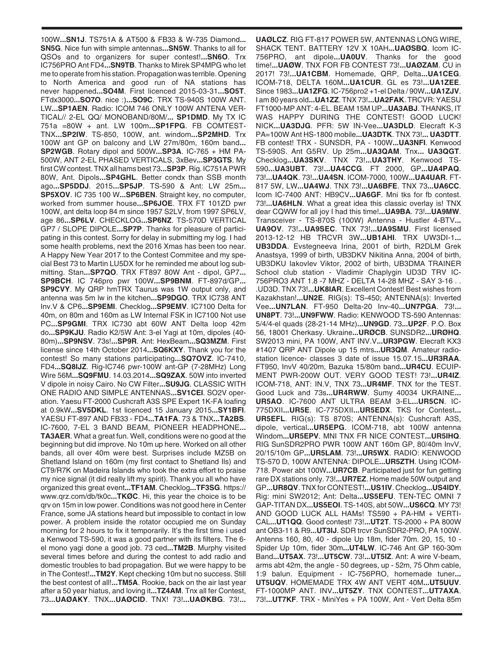100W**...SN1J**. TS751A & AT500 & FB33 & W-735 Diamond**... SN5G**. Nice fun with simple antennas**...SN5W**. Thanks to all for QSOs and to organizers for super contest!**...SN6O**. Trx IC756PRO Ant FD4**...SN9TB**. Thanks to Mirek SP4MPG who let me to operate from his station. Propagation was terrible. Opening to North America and good run of NA stations has never happened**...SO4M**. First licenced 2015-03-31**...SO5T**. FTdx3000**...SO7O**. nice :)**...SO9C**. TRX TS-940S 100W ANT. LW**...SP1AEN**. Radio: ICOM 746 ONLY 100W ANTENA VER-TICAL// 2-EL QQ/ MONOBAND/80M/**... SP1DMD**. My TX IC 751a =80W + ant. LW 100m**...SP1FPG**. FB COMTEST-TNX**...SP2IW**. TS-850, 100W, ant. windom**...SP2MHD**. Trx 100W ant GP on balcony and LW 27m/80m, 160m band**... SP2WGB**. Rotary dipol and 500W**...SP3A**. IC-765 + HM PA-500W, ANT 2-EL PHASED VERTICALS, 3xBev**...SP3GTS**. My first CW contest. TNX all hams best 73**...SP3P**. Rig. IC751A PWR 80W, Ant. Dipols**...SP4GHL**. Better condx than SSB month ago**...SP5DDJ**. 2015**...SP5JP**. TS-590 & Ant: LW 25m**... SP5XOV**. IC 735 100 W**...SP6BEN**. Straight key, no computer, worked from summer house**...SP6JOE**. TRX FT 101ZD pwr 100W, ant delta loop 84 m since 1957 S2LV, from 1997 SP6LV, age 86**...SP6LV**. CHECKLOG**...SP6NZ**. TS-570D VERTICAL GP7 / SLOPE DIPOLE**...SP7P**. Thanks for pleasure of participating in this contest. Sorry for delay in submitting my log. I had some health problems, next the 2016 Xmas has been too near. A Happy New Year 2017 to the Contest Commitee and my special Best 73 to Martin LU5DX for he reminded me about log submitting. Stan**...SP7QO**. TRX FT897 80W Ant - dipol, GP7**... SP9BCH**. IC 746pro pwr 100W**...SP9BNM**. FT-897d/GP**... SP9CVY**. My QRP hmTRX Taurus was 1W output only, and antenna was 5m lw in the kitchen**...SP9DGO**. TRX IC738 ANT Inv.V & CP6**...SP9EMI**. Checklog**...SP9EMV**. IC7100 Delta for 40m, on 80m and 160m as LW Internal FSK in IC7100 Not use PC**...SP9GMI**. TRX IC730 abt 60W ANT Delta loop 42m do**...SP9KJU**. Radio K2/5W Ant: 3-el Yagi at 10m, dipoles (40- 80m)**...SP9NSV**. 73s!**...SP9R**. Ant: HexBeam**...SQ3MZM**. First license since 14th October 2014**...SQ6KXY**. Thank you for the contest! So many stations participating**...SQ7OVZ**. IC-7410, FD4**...SQ8IJZ**. Rig-IC746 pwr-100W ant-GP (7-28MHz) Long Wire 56M**...SQ9FMU**. 14.03.2014**...SQ9ZAX**. 50W into inverted V dipole in noisy Cairo. No CW Filter**...SU9JG**. CLASSIC WITH ONE RADIO AND SIMPLE ANTENNAS**...SV1CEI**. SO2V operation. Yaesu FT-2000 Cushcraft A3S SPE Expert 1K-FA loafing at 0.9kW**...SV5DKL**. 1st licenced 15 January 2015**...SY1BFI**. YAESU FT-897 AND FB33 - FD4**...TA1FA**. 73 & TNX**...TA2BS**. IC-7600, 7-EL 3 BAND BEAM, PIONEER HEADPHONE**... TA3AER**. What a great fun. Well, conditions were no good at the beginning but did improve. No 10m up here. Worked on all other bands, all over 40m were best. Surprises include MZ5B on Shetland Island on 160m (my first contact to Shetland Ils) and CT9/R7K on Madeira Islands who took the extra effort to praise my nice signal (it did really lift my spirit). Thank you all who have organized this great event**...TF1AM**. Checklog**...TF3SG**. https:// www.qrz.com/db/tk0c**...TKØC**. Hi, this year the choice is to be qrv on 15m in low power. Conditions was not good here in Center France, some JA stations heard but impossible to contact in low power. A problem inside the rotator occupied me on Sunday morning for 2 hours to fix it temporarily. It's the first time i used a Kenwood TS-590, it was a good partner with its filters. The 6 el mono yagi done a good job. 73 ced**...TM2B**. Murphy visited several times before and during the contest to add radio and domestic troubles to bad propagation. But we were happy to be in The Contest!**...TM2Y**. Kept checking 10m but no success. Still the best contest of all!**...TM5A**. Rookie, back on the air last year after a 50 year hiatus, and loving it**...TZ4AM**. Tnx all fer Contest, 73**...UAØAKY**. TNX**...UAØCID**. TNX! 73!**...UAØKBG**. 73!**...**

**UAØLCZ**. RIG FT-817 POWER 5W, ANTENNAS LONG WIRE, SHACK TENT. BATTERY 12V X 10AH**...UAØSBQ**. Icom IC-756PRO, ant dipole**...UA0UV**. Thanks for the good time!**...UAØW**. TNX FOR FB CONTEST 73!**...UAØZAM**. CU in 2017! 73!**...UA1CBM**. Homemade, QRP, Delta**...UA1CEG**. ICOM-718, DELTA 160M**...UA1CUR**. GL es 73!**...UA1ZEE**. Since 1983**...UA1ZFG**. IC-756pro2 +1-el Delta / 90W**...UA1ZJV**. I am 80 years old**...UA1ZZ**. TNX 73!**...UA2FAK**. TRCVR: YAESU FT1000-MP ANT: 4-EL. BEAM 15M UP**...UA3ABJ**. THANKS, IT WAS HAPPY DURING THE CONTEST! GOOD LUCK! NICK**...UA3DJG**. PFR: 5W IN-Vee**...UA3DLD**. Elecraft K-3 PA=100W Ant HS-1800 mobile**...UA3DTK**. TNX 73!**... UA3DTT**. FB contest! TRX - SUNSDR, PA - 100W**...UA3NFI**. Kenwood TS-590S. Ant G5RV. Up 25m**...UA3QAM**. Tnx**... UA3QGT**. Checklog**...UA3SKV**. TNX 73!**...UA3THY**. Kenwood TS-590**...UA3UBT**. 73!**...UA4CCG**. FT 2000, GP**...UA4PAQ**. 73!**...UA4QK**. 73!**...UA4SN**. ICOM-7000, 100W**...UA4UAR**. FT-817 5W, LW**...UA4WJ**. TNX 73!**...UA6BFE**. TNX 73**...UA6CC**. Icom IC-7400 ANT: HB9CV**...UA6GF**. Mni tks for fb contest. 73!**...UA6HLN**. What a great idea this classic overlay is! TNX dear CQWW for all joy I had this time!**...UA9BA**. 73!**...UA9MW**. Transceiver - TS-870S (100W) Antenna - Hustler 4-BTV**... UA9OV**. 73!**...UA9SEC**. TNX 73!**...UA9SMU**. First licensed 2013-12-12 HB TRCVR 3W**...UB1AHI**. TRX UW3DI-1**... UB3DDA**. Evstegneeva Irina, 2001 of birth, R2DLM Grek Anastsya, 1999 of birth, UB3DKV Nikitina Anna, 2004 of birth, UB3DKU Iakovlev Viktor, 2002 of birth, UB3DMA TRAINER School club station - Vladimir Chaplygin UD3D TRV IC-756PRO3 ANT 1.8 -7 MHZ - DELTA 14-28 MHZ - SAY 3-16 . . .UD3D. TNX 73!**...UK8IAR**. Excellent Contest! Best wishes from Kazakhstan!**...UN2E**. RIG(s): TS-450; ANTENNA(s): Inverted Vee**...UN7LAN**. FT-950 Delta-20 Inv-40**...UN7PGA**. 73!**... UN8PT**. 73!**...UN9FWW**. Radio: KENWOOD TS-590 Antennas: 5/4/4-el quads (28-21-14 MHz)**...UN9GD**. 73**...UP2F**. P.O. Box 56, 18001 Cherkasy. Ukraine**...URØCB**. SUNSDR2**...URØHQ**. SW2013 mini, PA 100W, ANT INV.V**...UR3PGW**. Elecraft KX3 #1407 QRP ANT Dipole up 15 mtrs**...UR3QM**. Amateur radiostation licence- classes 3 date of issue 15.07.15**...UR3RAA**. FT950, InvV 40/20m, Bazuka 15/80m band**...UR4CU**. ECUIP-MENT PWR-200W OUT. VERY GOOD TEST! 73!**...UR4IZ**. ICOM-718, ANT: IN.V, TNX 73**...UR4MF**. TNX for the TEST. Good Luck and 73s**...UR4RWW**. Sumy 40034 UKRAINE**... UR5AO**. IC-7600 ANT ULTRA BEAM 3-EL**...UR5CN**. IC-775DXII**...UR5E**. IC-775DXII**...UR5EDX**. TKS for Contest**... UR5EFL**. RIG(s): TS 870S; ANTENNA(s): Cushcraft A3S, dipole, vertical**...UR5EPG**. ICOM-718, abt 100W antenna Windom**...UR5EPV**. MNI TNX FR NICE CONTEST**...UR5IHQ**. RIG SunSDR2PRO PWR 100W ANT 160m GP, 80/40m InvV, 20/15/10m GP**...UR5LAM**. 73!**...UR5WX**. RADIO: KENWOOD TS-570 D, 100W ANTENNA: DIPOLE**...UR5ZTH**. Using ICOM-718. Power abt 100W**...UR7CB**. Participated just for fun getting rare DX stations only. 73!**...UR7EZ**. Home made 50W output and GP**...UR8QV**. TNX for CONTEST!**...US1IV**. Checklog**...US4IDY**. Rig: mini SW2012; Ant: Delta**...US5EFU**. TEN-TEC OMNI 7 GAP-TITAN DX**...US5EOI**. TS-140S, abt 50W**...US6CQ**. MY 73! AND GOOD LUCK ALL HAMs! TS590 + PA-HM + VERTI-CAL**...UT1QQ**. Good contest! 73!**...UT2T**. TS-2000 + PA 800W ant OB3-11 & R9**...UT3IJ**. SDR trcvr SunSDR2-PRO, PA 100W. Antenns 160, 80, 40 - dipole Up 18m, fider 70m. 20, 15, 10 - Spider Up 10m, fider 30m**...UT4LW**. IC-746 Ant GP 160-30m Band**...UT5AX**. 73!**...UT5CW**. 73!**...UT5IZ**. Ant: A wire V-beam, arms abt 42m, the angle - 50 degrees, up - 52m, 75 Ohm cable, 1:9 balun. Equipment - IC-756PRO, homemade tuner**... UT5UQV**. HOMEMADE TRX 4W ANT VERT 40M**...UT5UUV**. FT-1000MP ANT. INV**...UT5ZY**. TNX CONTEST**...UT7AXA**. 73!**...UT7KF**. TRX - MiniYes + PA 100W, Ant - Vert Delta 85m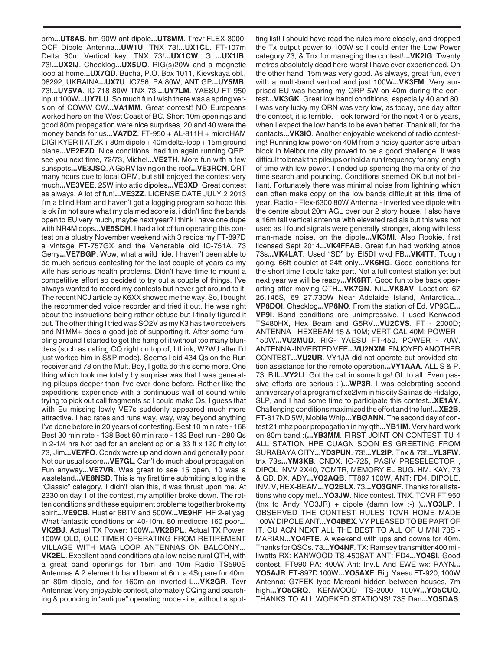prm**...UT8AS**. hm-90W ant-dipole**...UT8MM**. Trcvr FLEX-3000, OCF Dipole Antenna**...UW1U**. TNX 73!**...UX1CL**. FT-107m Delta 80m Vertical key. TNX 73!**...UX1CW**. GL**...UX1IB**. 73!**...UX2IJ**. Checklog**...UX5UO**. RIG(s)20W and a magnetic loop at home**...UX7QD**. Bucha, P.O. Box 1011, Kievskaya obl., 08292, UKRAINA**...UX7U**. IC756, PA 80W, ANT GP**...UY5MB**. 73!**...UY5VA**. IC-718 80W TNX 73!**...UY7LM**. YAESU FT 950 input 100W**...UY7LU**. So much fun I wish there was a spring version of CQWW CW**...VA1MM**. Great contest! NO Europeans worked here on the West Coast of BC. Short 10m openings and good 80m propagation were nice surprises, 20 and 40 were the money bands for us**...VA7DZ**. FT-950 + AL-811H + microHAM DIGI KYER II AT2K + 80m dipole + 40m delta-loop + 15m ground plane**...VE2EZD**. Nice conditions, had fun again running QRP, see you next time, 72/73, Michel**...VE2TH**. More fun with a few sunspots**...VE3JSQ**. A G5RV laying on the roof**...VE3RCN**. QRT many hours due to local QRM, but still enjoyed the contest very much**...VE3VEE**. 25W into attic dipoles**...VE3XD**. Great contest as always. A lot of fun!**...VE3ZZ**. LICENSE DATE JULY 2 2013 i'm a blind Ham and haven't got a logging program so hope this is ok i'm not sure what my claimed score is, i didn't find the bands open to EU very much, maybe next year? i think i have one dupe with NR4M oops**...VE5SDH**. I had a lot of fun operating this contest on a blustry November weekend with 3 radios my FT-897D a vintage FT-757GX and the Venerable old IC-751A. 73 Gerry**...VE7BGP**. Wow, what a wild ride. I haven't been able to do much serious contesting for the last couple of years as my wife has serious health problems. Didn't have time to mount a competitive effort so decided to try out a couple of things. I've always wanted to record my contests but never got around to it. The recent NCJ article by K6XX showed me the way. So, I bought the recommended voice recorder and tried it out. He was right about the instructions being rather obtuse but I finally figured it out. The other thing I tried was SO2V as my K3 has two receivers and N1MM+ does a good job of supporting it. After some fumbling around I started to get the hang of it without too many blunders (such as calling CQ right on top of, I think, W7WJ after I'd just worked him in S&P mode). Seems I did 434 Qs on the Run receiver and 78 on the Mult. Boy, I gotta do this some more. One thing which took me totally by surprise was that I was generating pileups deeper than I've ever done before. Rather like the expeditions experience with a continuous wall of sound while trying to pick out call fragments so I could make Qs. I guess that with Eu missing lowly VE7s suddenly appeared much more attractive. I had rates and runs way, way, way beyond anything I've done before in 20 years of contesting. Best 10 min rate - 168 Best 30 min rate - 138 Best 60 min rate - 133 Best run - 280 Qs in 2-1/4 hrs Not bad for an ancient op on a 33 ft x 120 ft city lot 73, Jim**...VE7FO**. Condx were up and down and generally poor. Not our usual score**...VE7GL**. Can't do much about propagation. Fun anyway**...VE7VR**. Was great to see 15 open, 10 was a wasteland**...VE8NSD**. This is my first time submitting a log in the "Classic" category. I didn't plan this, it was thrust upon me. At 2330 on day 1 of the contest, my amplifier broke down. The rotten conditions and these equipment problems together broke my spirit**...VE9CB**. Hustler 6BTV and 500W**...VE9HF**. HF 2-el yagi What fantastic conditions on 40-10m. 80 mediocre 160 poor**... VK2BJ**. Actual TX Power: 100W**...VK2BPL**. Actual TX Power: 100W OLD, OLD TIMER OPERATING FROM RETIREMENT VILLAGE WITH MAG LOOP ANTENNAS ON BALCONY**... VK2EL**. Excellent band conditions at a low noise rural QTH, with a great band openings for 15m and 10m Radio TS590S Antennas A 2 element triband beam at 6m, a 4Square for 40m, an 80m dipole, and for 160m an inverted L**...VK2GR**. Tcvr Antennas Very enjoyable contest, alternately CQing and searching & pouncing in "antique" operating mode - i.e, without a spot-

ting list! I should have read the rules more closely, and dropped the Tx output power to 100W so I could enter the Low Power category 73, & Tnx for managing the contest!**...VK2IG**. Twenty metres absolutely dead here-worst I have ever experienced. On the other hand, 15m was very good. As always, great fun, even with a multi-band vertical and just 100W**...VK3FM**. Very surprised EU was hearing my QRP 5W on 40m during the contest**...VK3GK**. Great low band conditions, especially 40 and 80. I was very lucky my QRN was very low, as today, one day after the contest, it is terrible. I look forward for the next 4 or 5 years, when I expect the low bands to be even better. Thank all, for the contacts**...VK3IO**. Another enjoyable weekend of radio contesting! Running low power on 40M from a noisy quarter acre urban block in Melbourne city proved to be a good challenge. It was difficult to break the pileups or hold a run frequency for any length of time with low power. I ended up spending the majority of the time search and pouncing. Conditions seemed OK but not brilliant. Fortunately there was minimal noise from lightning which can often make copy on the low bands difficult at this time of year. Radio - Flex-6300 80W Antenna - Inverted vee dipole with the centre about 20m AGL over our 2 story house. I also have a 16m tall vertical antenna with elevated radials but this was not used as I found signals were generally stronger, along with less man-made noise, on the dipole**...VK3MI**. Also Rookie, first licensed Sept 2014**...VK4FFAB**. Great fun had working atnos 73s**...VK4LAT**. Used "SD" by EI5DI wkd FB**...VK4TT**. Tough going. 66ft doublet at 24ft only**...VK6HG**. Good conditions for the short time I could take part. Not a full contest station yet but next year we will be ready**...VK6RT**. Good fun to be back operarting after moving QTH**...VK7GN**. Nil**...VK8AV**. Location: 67 26.146S, 69 27.730W Near Adelaide Island, Antarctica**... VP8DOI**. Checklog**...VP8NO**. From the station of Ed, VP9GE**... VP9I**. Band conditions are unimpressive. I used Kenwood TS480HX, Hex Beam and G5RV**...VU2CVS**. FT - 2000D; ANTENNA - HEXBEAM 15 & 10M; VERTICAL 40M; POWER - 150W**...VU2MUD**. RIG- YAESU FT-450. POWER - 70W. ANTENNA -INVERTED VEE**...VU2NXM**. ENJOYED ANOTHER CONTEST**...VU2UR**. VY1JA did not operate but provided station assistance for the remote operation**...VY1AAA**. ALL S & P. 73, Bill**...VY2LI**. Got the call in some logs! GL to all. Even passive efforts are serious :-)**...WP3R**. I was celebrating second anniversary of a program of xe2lvm in his city Salinas de Hidalgo, SLP, and I had some time to participate this contest**...XE1AY**. Challenging conditions maximized the effort and the fun!**...XE2B**. FT-817ND 5W, Mobile Whip**...YBØANN**. The second day of contest 21 mhz poor propogation in my qth**...YB1IM**. Very hard work on 80m band :(**...YB3MM**. FIRST JOINT ON CONTEST TU 4 ALL STATION HPE CUAGN SOON ES GREETING FROM SURABAYA CITY**...YD3PUN**. 73!**...YL2IP**. Tnx & 73!**...YL3FW**. tnx 73s**...YM3KB**. CNDX. IC-725, PASIV PRESELECTOR , DIPOL INVV 2X40, 7OMTR, MEMORY EL BUG. HM. KAY, 73 & GD. DX. ADY**...YO2AQB**. FT897 100W, ANT: FD4, DIPOLE, INV. V, HEX-BEAM**...YO2BLX**. 73**...YO3GNF**. Thanks for all stations who copy me!**...YO3JW**. Nice contest. TNX. TCVR FT 950 (tnx to Andy YO3JR) + dipole (damn low :-) )**...YO3LP**. I OBSERVED THE CONTEST RULES TCVR HOME MADE 100W DIPOLE ANT**...YO4BEX**. VY PLEASED TO BE PART OF IT. CU AGN NEXT ALL THE BEST TO ALL OF U MNI 73S - MARIAN**...YO4FTE**. A weekend with ups and downs for 40m. Thanks for QSOs. 73**...YO4NF**. TX: Ramsey transmitter 400 milliwatts RX: KANWOOD TS-450SAT ANT: FD4**...YO4SI**. Good contest. FT990 PA: 400W Ant: Inv.L And EWE wx: RAYN**... YO5AJR**. FT-897D 100W**...YO5AXF**. Rig: Yaesu FT-920, 100W Antenna: G7FEK type Marconi hidden between houses, 7m high**...YO5CRQ**. KENWOOD TS-2000 100W**...YO5CUQ**. THANKS TO ALL WORKED STATIONS! 73S Dan**...YO5DAS**.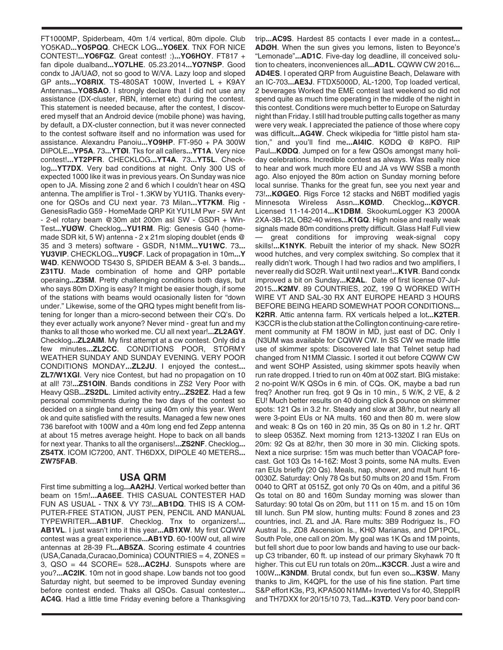FT1000MP, Spiderbeam, 40m 1/4 vertical, 80m dipole. Club YO5KAD**...YO5PQQ**. CHECK LOG**...YO6EX**. TNX FOR NICE CONTEST!**...YO6FGZ**. Great contest! :)**...YO6HOY**. FT817 + fan dipole dualband**...YO7LHE**. 05.23.2014**...YO7NSP**. Good condx to JA/UAØ, not so good to W/VA. Lazy loop and sloped GP ants**...YO8RIX**. TS-480SAT 100W, Inverted L + K9AY Antennas**...YO8SAO**. I strongly declare that I did not use any assistance (DX-cluster, RBN, internet etc) during the contest. This statement is needed because, after the contest, I discovered myself that an Android device (mobile phone) was having, by default, a DX-cluster connection, but it was never connected to the contest software itself and no information was used for assistance. Alexandru Panoiu**...YO9HP**. FT-950 + PA 300W DIPOLE**...YP5A**. 73**...YTØI**. Tks for all callers**...YT1A**. Very nice contest!**...YT2PFR**. CHECKLOG**...YT4A**. 73**...YT5L**. Checklog**...YT7DX**. Very bad conditions at night. Only 300 US of expected 1000 like it was in previous years. On Sunday was nice open to JA. Missing zone 2 and 6 which I couldn't hear on 4SQ antenna. The amplifier is Trol - 1.3KW by YU1IG. Thanks everyone for QSOs and CU next year. 73 Milan**...YT7KM**. Rig - GenesisRadio G59 - HomeMade QRP Kit YU1LM Pwr - 5W Ant - 2-el rotary beam @30m abt 200m asl SW - GSDR + Win-Test**...YUØW**. Checklog**...YU1RM**. Rig: Genesis G40 (homemade SDR kit, 5 W) antenna - 2 x 21m sloping doublet (ends @ 35 and 3 meters) software - GSDR, N1MM**...YU1WC**. 73**... YU3VIP**. CHECKLOG**...YU9CF**. Lack of propagation in 10m**...Y W4D**. KENWOOD TS430 S, SPIDER BEAM & 3-el. 3 bands**... Z31TU**. Made combination of home and QRP portable operaing**...Z35M**. Pretty challenging conditions both days, but who says 80m DXing is easy? It might be easier though, if some of the stations with beams would ocasionally listen for "down under." Likewise, some of the QRQ types might benefit from listening for longer than a micro-second between their CQ's. Do they ever actually work anyone? Never mind - great fun and my thanks to all those who worked me. CU all next year!**...ZL2AGY**. Checklog**...ZL2AIM**. My first attempt at a cw contest. Only did a few minutes**...ZL2CC**. CONDITIONS POOR, STORMY WEATHER SUNDAY AND SUNDAY EVENING. VERY POOR CONDITIONS MONDAY**...ZL2JU**. I enjoyed the contest**... ZL7/W1XGI**. Very nice Contest, but had no propagation on 10 at all! 73!**...ZS1OIN**. Bands conditions in ZS2 Very Poor with Heavy QSB**...ZS2DL**. Limited activity entry**...ZS2EZ**. Had a few personal commitments during the two days of the contest so decided on a single band entry using 40m only this year. Went ok and quite satisfied with the results. Managed a few new ones 736 barefoot with 100W and a 40m long end fed Zepp antenna at about 15 metres average height. Hope to back on all bands for next year. Thanks to all the organisers!**...ZS2NF**. Checklog**... ZS4TX**. ICOM IC7200, ANT. TH6DXX, DIPOLE 40 METERS**... ZW75FAB**.

## **USA QRM**

First time submitting a log**...AA2HJ**. Vertical worked better than beam on 15m!**...AA6EE**. THIS CASUAL CONTESTER HAD FUN AS USUAL - TNX & VY 73!**...AB1DQ**. THIS IS A COM-PUTER-FREE STATION, JUST PEN, PENCIL AND MANUAL TYPEWRITER**...AB1UF**. Checklog. Tnx to organizers!**... AB1VL**. I just wasn't into it this year**...AB1XW**. My first CQWW contest was a great experience**...AB1YD**. 60-100W out, all wire antennas at 28-39 Ft**...AB5ZA**. Scoring estimate 4 countries (USA,Canada,Curacao,Dominica) COUNTRIES = 4, ZONES = 3, QSO = 44 SCORE= 528**...AC2HJ**. Sunspots where are you?**...AC2IK**. 10m not in good shape. Low bands not too good Saturday night, but seemed to be improved Sunday evening before contest ended. Thaks all QSOs. Casual contester**... AC4G**. Had a little time Friday evening before a Thanksgiving trip**...AC9S**. Hardest 85 contacts I ever made in a contest**... ADØH**. When the sun gives you lemons, listen to Beyonce's "Lemonade"**...AD1C**. Five-day log deadline, ill conceived solution to cheaters, inconveniences all**...AD1L**. CQWW CW 2016**... AD4ES**. I operated QRP from Auguistine Beach, Delaware with an IC-703**...AE3J**. FTDX5000D, AL-1200, Top loaded vertical, 2 beverages Worked the EME contest last weekend so did not spend quite as much time operating in the middle of the night in this contest. Conditions were much better to Europe on Saturday night than Friday. I still had trouble putting calls together as many were very weak. I appreciated the patience of those where copy was difficult... AG4W. Check wikipedia for "little pistol ham station," and you'll find me**...AI4IC**. KØDQ @ K8PO. RIP Paul**...KØDQ**. Jumped on for a few QSOs amongst many holiday celebrations. Incredible contest as always. Was really nice to hear and work much more EU and JA vs WW SSB a month ago. Also enjoyed the 80m action on Sunday morning before local sunrise. Thanks for the great fun, see you next year and 73!**...KØGEO**. Rigs Force 12 stacks and N6BT modified yagis Minnesota Wireless Assn**...KØMD**. Checklog**...KØYCR**. Licensed 11-14-2014**...K1DBM**. SkookumLogger K3 2000A 2XA-3B-12L OB2-40 wires**...K1GQ**. High noise and really weak signals made 80m conditions pretty difficult. Glass Half Full view great conditions for improving weak-signal copy skills!**...K1NYK**. Rebuilt the interior of my shack. New SO2R wood hutches, and very complex switching. So complex that it really didn't work. Though I had two radios and two amplifiers, I never really did SO2R. Wait until next year!**...K1VR**. Band condx improved a bit on Sunday**...K2AL**. Date of first license 07-Jul-2015**...K2MV**. 89 COUNTRIES, 20Z, 199 Q WORKED WITH WIRE VT AND SAL-30 RX ANT EUROPE HEARD 3 HOURS BEFORE BEING HEARD SOMEWHAT POOR CONDITIONS**... K2RR**. Attic antenna farm. RX verticals helped a lot**...K2TER**. K3CCR is the club station at the Collington continuing-care retirement community at FM 18OW in MD, just east of DC. Only I (N3UM was available for CQWW CW. In SS CW we made little use of skimmer spots: Discovered late that Telnet setup had changed from N1MM Classic. I sorted it out before CQWW CW and went SOHP Assisted, using skimmer spots heavily when run rate dropped. I tried to run on 40m at 00Z start. BIG mistake: 2 no-point W/K QSOs in 6 min. of CQs. OK, maybe a bad run freq? Another run freq. got 9 Qs in 10 min., 5 W/K, 2 VE, & 2 EU! Much better results on 40 doing click & pounce on skimmer spots: 121 Qs in 3.2 hr. Steady and slow at 38/hr, but nearly all were 3-point EUs or NA mults. 160 and then 80 m. were slow and weak: 8 Qs on 160 in 20 min, 35 Qs on 80 in 1.2 hr. QRT to sleep 0535Z. Next morning from 1213-1320Z I ran EUs on 20m: 92 Qs at 82/hr, then 30 more in 30 min. Clicking spots. Next a nice surprise: 15m was much better than VOACAP forecast. Got 103 Qs 14-16Z: Most 3 points, some NA mults. Even ran EUs briefly (20 Qs). Meals, nap, shower, and mult hunt 16- 0030Z. Saturday: Only 78 Qs but 50 mults on 20 and 15m. From 0040 to QRT at 0515Z, got only 70 Qs on 40m, and a pitiful 36 Qs total on 80 and 160m Sunday morning was slower than Saturday: 90 total Qs on 20m, but 111 on 15 m. and 15 on 10m till lunch. Sun PM slow, hunting mults: Found 8 zones and 23 countries, incl. ZL and JA. Rare mults: 3B9 Rodriguez Is., FO Austral Is., ZD8 Ascension Is., KHØ Marianas, and DP1POL, South Pole, one call on 20m. My goal was 1K Qs and 1M points, but fell short due to poor low bands and having to use our backup C3 tribander, 60 ft. up instead of our primary Skyhawk 70 ft higher. This cut EU run totals on 20m**...K3CCR**. Just a wire and 100W**...K3NDM**. Brutal condx, but fun even so**...K3SW**. Many thanks to Jim, K4QPL for the use of his fine station. Part time S&P effort K3s, P3, KPA500 N1MM+ Inverted Vs for 40, SteppIR and TH7DXX for 20/15/10 73, Tad**...K3TD**. Very poor band con-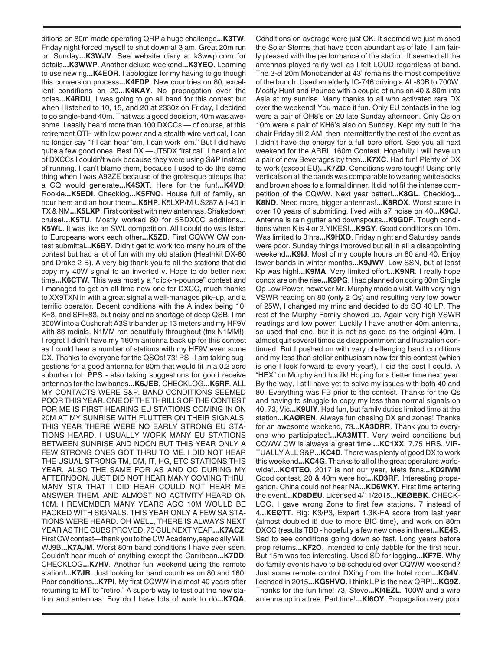ditions on 80m made operating QRP a huge challenge**...K3TW**. Friday night forced myself to shut down at 3 am. Great 20m run on Sunday**...K3WJV**. See website diary at k3wwp.com for details**...K3WWP**. Another deluxe weekend**...K3YEO**. Learning to use new rig**...K4EOR**. I apologize for my having to go though this conversion process**...K4FDP**. New countries on 80, excellent conditions on 20**...K4KAY**. No propagation over the poles**...K4RDU**. I was going to go all band for this contest but when I listened to 10, 15, and 20 at 2330z on Friday, I decided to go single-band 40m. That was a good decision, 40m was awesome. I easily heard more than 100 DXCCs — of course, at this retirement QTH with low power and a stealth wire vertical, I can no longer say "if I can hear 'em, I can work 'em." But I did have quite a few good ones. Best DX — JT5DX first call. I heard a lot of DXCCs I couldn't work because they were using S&P instead of running. I can't blame them, because I used to do the same thing when I was A92ZE because of the grotesque pileups that a CQ would generate**...K4SXT**. Here for the fun!**...K4VD**. Rookie**...K5EDI**. Checklog**...K5FNQ**. House full of family, an hour here and an hour there**...K5HP**. K5LXP/M US287 & I-40 in TX & NM**...K5LXP**. First contest with new antennas. Shakedown cruise!**...K5TU**. Mostly worked 80 for 5BDXCC additions**... K5WL**. It was like an SWL competition. All I could do was listen to Europeans work each other**...K5ZD**. First CQWW CW contest submittal**...K6BY**. Didn't get to work too many hours of the contest but had a lot of fun with my old station (Heathkit DX-60 and Drake 2-B). A very big thank you to all the stations that did copy my 40W signal to an inverted v. Hope to do better next time**...K6CTW**. This was mostly a "click-n-pounce" contest and I managed to get an all-time new one for DXCC, much thanks to XX9TXN in with a great signal a well-managed pile-up, and a terrific operator. Decent conditions with the A index being 10, K=3, and SFI=83, but noisy and no shortage of deep QSB. I ran 300W into a Cushcraft A3S tribander up 13 meters and my HF9V with 83 radials. N1MM ran beautifully throughout (tnx N1MM!). I regret I didn't have my 160m antenna back up for this contest as I could hear a number of stations with my HF9V even some DX. Thanks to everyone for the QSOs! 73! PS - I am taking suggestions for a good antenna for 80m that would fit in a 0.2 acre suburban lot. PPS - also taking suggestions for good receive antennas for the low bands**...K6JEB**. CHECKLOG**...K6RF**. ALL MY CONTACTS WERE S&P. BAND CONDITIONS SEEMED POOR THIS YEAR. ONE OF THE THRILLS OF THE CONTEST FOR ME IS FIRST HEARING EU STATIONS COMING IN ON 20M AT MY SUNRISE WITH FLUTTER ON THEIR SIGNALS. THIS YEAR THERE WERE NO EARLY STRONG EU STA-TIONS HEARD. I USUALLY WORK MANY EU STATIONS BETWEEN SUNRISE AND NOON BUT THIS YEAR ONLY A FEW STRONG ONES GOT THRU TO ME. I DID NOT HEAR THE USUAL STRONG TM, DM, IT, HG, ETC STATIONS THIS YEAR. ALSO THE SAME FOR AS AND OC DURING MY AFTERNOON. JUST DID NOT HEAR MANY COMING THRU. MANY STA THAT I DID HEAR COULD NOT HEAR ME ANSWER THEM. AND ALMOST NO ACTIVITY HEARD ON 10M. I REMEMBER MANY YEARS AGO 10M WOULD BE PACKED WITH SIGNALS. THIS YEAR ONLY A FEW SA STA-TIONS WERE HEARD. OH WELL, THERE IS ALWAYS NEXT YEAR AS THE CUBS PROVED. 73 CUL NEXT YEAR**...K7ACZ**. First CW contest—thank you to the CW Academy,especially Will, WJ9B**...K7AJM**. Worst 80m band conditions I have ever seen. Couldn't hear much of anything except the Carribean**...K7DD**. CHECKLOG**...K7HV**. Another fun weekend using the remote station!**...K7JR**. Just looking for band countries on 80 and 160. Poor conditions**...K7PI**. My first CQWW in almost 40 years after returning to MT to "retire." A superb way to test out the new station and antennas. Boy do I have lots of work to do**...K7QA**.

Conditions on average were just OK. It seemed we just missed the Solar Storms that have been abundant as of late. I am fairly pleased with the performance of the station. It seemed all the antennas played fairly well as I felt LOUD regardless of band. The 3-el 20m Monobander at 43' remains the most competitive of the bunch. Used an elderly IC-746 driving a AL-80B to 700W. Mostly Hunt and Pounce with a couple of runs on 40 & 80m into Asia at my sunrise. Many thanks to all who activated rare DX over the weekend! You made it fun. Only EU contacts in the log were a pair of OH8's on 20 late Sunday afternoon. Only Qs on 10m were a pair of KH6's also on Sunday. Kept my butt in the chair Friday till 2 AM, then intermittently the rest of the event as I didn't have the energy for a full bore effort. See you all next weekend for the ARRL 160m Contest. Hopefully I will have up a pair of new Beverages by then**...K7XC**. Had fun! Plenty of DX to work (except EU)**...K7ZD**. Conditions were tough! Using only verticals on all the bands was comparable to wearing white socks and brown shoes to a formal dinner. It did not fit the intense competition of the CQWW. Next year better!**...K8GL**. Checklog**... K8ND**. Need more, bigger antennas!**...K8ROX**. Worst score in over 10 years of submitting, lived with s7 noise on 40**...K9CJ**. Antenna is rain gutter and downspouts**...K9GDF**. Tough conditions when K is 4 or 3.YIKES!**...K9GY**. Good conditions on 10m. Was limited to 3 hrs**...K9HXO**. Friday night and Saturday bands were poor. Sunday things improved but all in all a disappointing weekend**...K9IJ**. Most of my couple hours on 80 and 40. Enjoy lower bands in winter months**...K9JWV**. Low SSN, but at least Kp was high!**...K9MA**. Very limited effort**...K9NR**. I really hope condx are on the rise**...K9PG**. I had planned on doing 80m Single Op Low Power, however Mr. Murphy made a visit. With very high VSWR reading on 80 (only 2 Qs) and resulting very low power of 25W, I changed my mind and decided to do SO 40 LP. The rest of the Murphy Family showed up. Again very high VSWR readings and low power! Luckily I have another 40m antenna, so used that one, but it is not as good as the original 40m. I almost quit several times as disappointment and frustration continued. But I pushed on with very challenging band conditions and my less than stellar enthusiasm now for this contest (which is one I look forward to every year!), I did the best I could. A "HEX" on Murphy and his ilk! Hoping for a better time next year. By the way, I still have yet to solve my issues with both 40 and 80. Everything was FB prior to the contest. Thanks for the Qs and having to struggle to copy my less than normal signals on 40. 73, Vic**...K9UIY**. Had fun, but family duties limited time at the station**...KAØREN**. Always fun chasing DX and zones! Thanks for an awesome weekend, 73**...KA3DRR**. Thank you to everyone who participated!**...KA3MTT**. Very weird conditions but CQWW CW is always a great time!**...KC1XX**. 7.75 HRS. VIR-TUALLY ALL S&P**...KC4D**. There was plenty of good DX to work this weekend**...KC4G**. Thanks to all of the great operators worldwide!**...KC4TEO**. 2017 is not our year, Mets fans**...KD2IWM** Good contest, 20 & 40m were hot**...KD3RF**. Interesting propagation. China could not hear NA**...KD6WKY**. First time entering the event**...KD8DEU**. Licensed 4/11/2015**...KEØEBK**. CHECK-LOG. I gave wrong Zone to first few stations. 7 instead of 4**...KEØTT**. Rig: K3/P3, Expert 1.3K-FA score from last year (almost doubled it! due to more BIC time), and work on 80m DXCC (results TBD - hopefully a few new ones in there)**...KE4S**. Sad to see conditions going down so fast. Long years before prop returns**...KF2O**. Intended to only dabble for the first hour. But 15m was too interesting. Used SD for logging**...KF7E**. Why do family events have to be scheduled over CQWW weekend? Just some remote control DXing from the hotel room**...KG4V**. licensed in 2015**...KG5HVO**. I think LP is the new QRP!**...KG9Z**. Thanks for the fun time! 73, Steve**...KI4EZL**. 100W and a wire antenna up in a tree. Part time!**...KI6OY**. Propagation very poor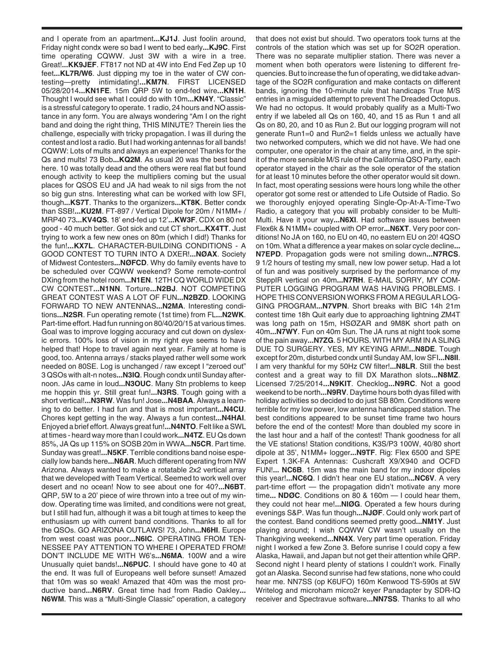and I operate from an apartment**...KJ1J**. Just foolin around, Friday night condx were so bad I went to bed early**...KJ9C**. First time operating CQWW. Just 3W with a wire in a tree. Great!**...KK9JEF**. FT817 not ND at 4W into End Fed Zep up 10 feet**...KL7R/W6**. Just dipping my toe in the water of CW contesting—pretty intimidating!**...KM7N**. FIRST LICENSED 05/28/2014**...KN1FE**. 15m QRP 5W to end-fed wire**...KN1H**. Thought I would see what I could do with 10m**...KN4Y**. "Classic" is a stressful category to operate. 1 radio, 24 hours and NO assistance in any form. You are always wondering "Am I on the right band and doing the right thing, THIS MINUTE? Therein lies the challenge, especially with tricky propagation. I was ill during the contest and lost a radio. But I had working antennas for all bands! CQWW: Lots of mults and always an experience! Thanks for the Qs and mults! 73 Bob**...KQ2M**. As usual 20 was the best band here. 10 was totally dead and the others were real flat but found enough activity to keep the multipliers coming but the usual places for QSOS EU and JA had weak to nil sigs from the not so big gun stns. Interesting what can be worked with low SFI, though**...KS7T**. Thanks to the organizers**...KT8K**. Better condx than SSB!**...KU2M**. FT-897 / Vertical Dipole for 20m / N1MM+ / MRP40 73**...KV4QS**. 18' end-fed up 12'**...KW3F**. CDX on 80 not good - 40 much better. Got sick and cut CT short**...KX4TT**. Just trying to work a few new ones on 80m (which I did!) Thanks for the fun!**...KX7L**. CHARACTER-BUILDING CONDITIONS - A GOOD CONTEST TO TURN INTO A DXER!**...NØAX**. Society of Midwest Contesters**...NØFCD**. Why do family events have to be scheduled over CQWW weekend? Some remote-control DXing from the hotel room**...N1EN**. 12TH CQ WORLD WIDE DX CW CONTEST**...N1NN**. Torture**...N2BJ**. NOT COMPETING GREAT CONTEST WAS A LOT OF FUN**...N2BZD**. LOOKING FORWARD TO NEW ANTENNAS**...N2MA**. Interesting conditions**...N2SR**. Fun operating remote (1st time) from FL**...N2WK**. Part-time effort. Had fun running on 80/40/20/15 at various times. Goal was to improve logging accuracy and cut down on dyslexic errors. 100% loss of vision in my right eye seems to have helped that! Hope to travel again next year. Family at home is good, too. Antenna arrays / stacks played rather well some work needed on 80SE. Log is unchanged / raw except I "zeroed out" 3 QSOs with alt-n notes**...N3IQ**. Rough condx until Sunday afternoon. JAs came in loud**...N3OUC**. Many Stn problems to keep me hoppin this yr. Still great fun!**...N3RS**. Tough going with a short vertical!**...N3RW**. Was fun! Jose**...N4BAA**. Always a learning to do better. I had fun and that is most important**...N4CU**. Chores kept getting in the way. Always a fun contest**...N4HAI**. Enjoyed a brief effort. Always great fun!**...N4NTO**. Felt like a SWL at times - heard way more than I could work**...N4TZ**. EU Qs down 85%, JA Qs up 115% on SOSB 20m in WWA**...N5CR**. Part time. Sunday was great!**...N5KF**. Terrible conditions band noise especially low bands here**...N6AR**. Much different operating from NW Arizona. Always wanted to make a rotatable 2x2 vertical array that we developed with Team Vertical. Seemed to work well over desert and no ocean! Now to see about one for 40?**...N6BT**. QRP, 5W to a 20' piece of wire thrown into a tree out of my window. Operating time was limited, and conditions were not great, but I still had fun, although it was a bit tough at times to keep the enthusiasm up with current band conditions. Thanks to all for the QSOs. GO ARIZONA OUTLAWS! 73, John**...N6HI**. Europe from west coast was poor**...N6IC**. OPERATING FROM TEN-NESSEE PAY ATTENTION TO WHERE I OPERATED FROM! DON'T INCLUDE ME WITH W6's**...N6MA**. 100W and a wire Unusually quiet bands!**...N6PUC**. I should have gone to 40 at the end. It was full of Europeans well before sunset! Amazed that 10m was so weak! Amazed that 40m was the most productive band**...N6RV**. Great time had from Radio Oakley**... N6WM**. This was a "Multi-Single Classic" operation, a category

that does not exist but should. Two operators took turns at the controls of the station which was set up for SO2R operation. There was no separate multiplier station. There was never a moment when both operators were listening to different frequencies. But to increase the fun of operating, we did take advantage of the SO2R configuration and make contacts on different bands, ignoring the 10-minute rule that handicaps True M/S entries in a misguided attempt to prevent The Dreaded Octopus. We had no octopus. It would probably qualify as a Multi-Two entry if we labeled all Qs on 160, 40, and 15 as Run 1 and all Qs on 80, 20, and 10 as Run 2. But our logging program will not generate Run1=0 and Run2=1 fields unless we actually have two networked computers, which we did not have. We had one computer, one operator in the chair at any time, and, in the spirit of the more sensible M/S rule of the California QSO Party, each operator stayed in the chair as the sole operator of the station for at least 10 minutes before the other operator would sit down. In fact, most operating sessions were hours long while the other operator got some rest or attended to Life Outside of Radio. So we thoroughly enjoyed operating Single-Op-At-A-Time-Two Radio, a category that you will probably consider to be Multi-Multi. Have it your way**...N6XI**. Had software issues between Flex6k & N1MM+ coupled with OP error**...N6XT**. Very poor conditions! No JA on 160, no EU on 40, no eastern EU on 20! 4QSO on 10m. What a difference a year makes on solar cycle decline**... N7EPD**. Propagation gods were not smiling down**...N7RCS**. 9 1/2 hours of testing my small, new low power setup. Had a lot of fun and was positively surprised by the performance of my SteppIR vertical on 40m**...N7RH**. E-MAIL SORRY, MY COM-PUTER LOGGING PROGRAM WAS HAVING PROBLEMS. I HOPE THIS CONVERSION WORKS FROM A REGULAR LOG-GING PROGRAM**...N7VPN**. Short breaks with BIC 14h 21m contest time 18h Quit early due to approaching lightning ZM4T was long path on 15m, HSØZAR and 9M8K short path on 40m**...N7WY**. Fun on 40m Sun. The JA runs at night took some of the pain away**...N7ZG**. 5 HOURS. WITH MY ARM IN A SLING DUE TO SURGERY. YES, MY KEYING ARM!**...N8DE**. Tough except for 20m, disturbed condx until Sunday AM, low SFI**...N8II**. I am very thankful for my 50Hz CW filter!**...N8LR**. Still the best contest and a great way to fill DX Marathon slots**...N8MZ**. Licensed 7/25/2014**...N9KIT**. Checklog**...N9RC**. Not a good weekend to be north**...N9RV**. Daytime hours both dyas filled with holiday activities so decided to do just SB 80m. Conditions were terrible for my low power, low antenna handicapped station. The best conditions appeared to be sunset time frame two hours before the end of the contest! More than doubled my score in the last hour and a half of the contest! Thank goodness for all the VE stations! Station conditions, K3S/P3 100W, 40/80 short dipole at 35', N1MM+ logger**...N9TF**. Rig: Flex 6500 and SPE Expert 1.3K-FA Antennas: Cushcraft X9/X940 and OCFD FUN!**... NC6B**. 15m was the main band for my indoor dipoles this year!**...NC6Q**. I didn't hear one EU station**...NC6V**. A very part-time effort — the propagation didn't motivate any more time**... NDØC**. Conditions on 80 & 160m — I could hear them, they could not hear me!**...NIØG**. Operated a few hours during evenings S&P. Was fun though**...NJØF**. Could only work part of the contest. Band conditions seemed pretty good**...NM1Y**. Just playing around; I wish CQWW CW wasn't usually on the Thankgiving weekend**...NN4X**. Very part time operation. Friday night I worked a few Zone 3. Before sunrise I could copy a few Alaska, Hawaii, and Japan but not get their attention while QRP. Second night I heard plenty of stations I couldn't work. Finally got an Alaska. Second sunrise had few stations, none who could hear me. NN7SS (op K6UFO) 160m Kenwood TS-590s at 5W Writelog and microham micro2r keyer Panadapter by SDR-IQ receiver and Spectravue software**...NN7SS**. Thanks to all who